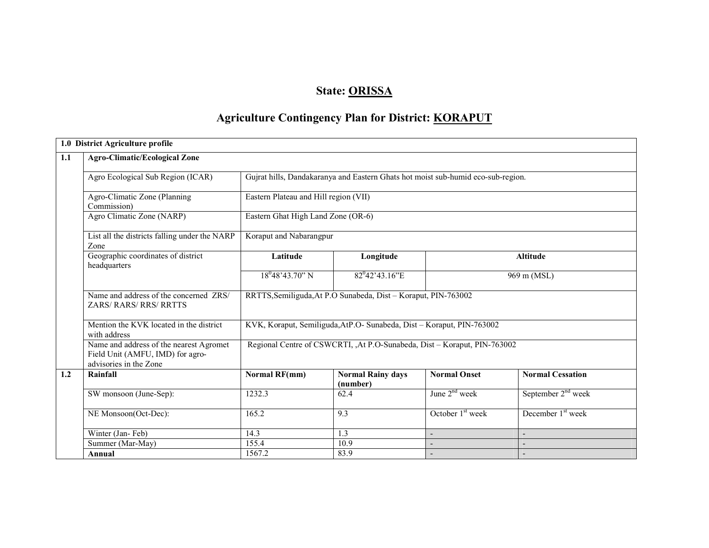### State: <u>ORISSA</u>

### Agriculture Contingency Plan for District: KORAPUT

| 1.0 District Agriculture profile                                                                      |                                       |                                                                                  |                          |                                |  |  |  |
|-------------------------------------------------------------------------------------------------------|---------------------------------------|----------------------------------------------------------------------------------|--------------------------|--------------------------------|--|--|--|
| 1.1<br><b>Agro-Climatic/Ecological Zone</b>                                                           |                                       |                                                                                  |                          |                                |  |  |  |
| Agro Ecological Sub Region (ICAR)                                                                     |                                       | Gujrat hills, Dandakaranya and Eastern Ghats hot moist sub-humid eco-sub-region. |                          |                                |  |  |  |
| Agro-Climatic Zone (Planning<br>Commission)                                                           | Eastern Plateau and Hill region (VII) |                                                                                  |                          |                                |  |  |  |
| Agro Climatic Zone (NARP)                                                                             | Eastern Ghat High Land Zone (OR-6)    |                                                                                  |                          |                                |  |  |  |
| List all the districts falling under the NARP<br>Zone                                                 | Koraput and Nabarangpur               |                                                                                  |                          |                                |  |  |  |
| Geographic coordinates of district<br>headquarters                                                    | Latitude                              | Longitude                                                                        |                          | <b>Altitude</b>                |  |  |  |
|                                                                                                       | $18^{0}48'43.70"$ N                   | $82^{0}42'43.16'E$                                                               |                          | 969 m (MSL)                    |  |  |  |
| Name and address of the concerned ZRS/<br><b>ZARS/RARS/RRS/RRTTS</b>                                  |                                       | RRTTS, Semiliguda, At P.O Sunabeda, Dist - Koraput, PIN-763002                   |                          |                                |  |  |  |
| Mention the KVK located in the district<br>with address                                               |                                       | KVK, Koraput, Semiliguda, AtP.O- Sunabeda, Dist - Koraput, PIN-763002            |                          |                                |  |  |  |
| Name and address of the nearest Agromet<br>Field Unit (AMFU, IMD) for agro-<br>advisories in the Zone |                                       | Regional Centre of CSWCRTI, ,At P.O-Sunabeda, Dist - Koraput, PIN-763002         |                          |                                |  |  |  |
| 1.2<br>Rainfall                                                                                       | <b>Normal RF(mm)</b>                  | <b>Normal Rainy days</b><br>(number)                                             | <b>Normal Onset</b>      | <b>Normal Cessation</b>        |  |  |  |
| SW monsoon (June-Sep):                                                                                | 1232.3                                | 62.4                                                                             | June $2nd$ week          | September 2 <sup>nd</sup> week |  |  |  |
| NE Monsoon(Oct-Dec):                                                                                  | 165.2                                 | 9.3                                                                              | October $1st$ week       | December 1 <sup>st</sup> week  |  |  |  |
| Winter (Jan-Feb)                                                                                      | 14.3                                  | 1.3                                                                              | Ξ.                       |                                |  |  |  |
| Summer (Mar-May)                                                                                      | 155.4                                 | 10.9                                                                             |                          |                                |  |  |  |
| Annual                                                                                                | 1567.2                                | 83.9                                                                             | $\overline{\phantom{a}}$ |                                |  |  |  |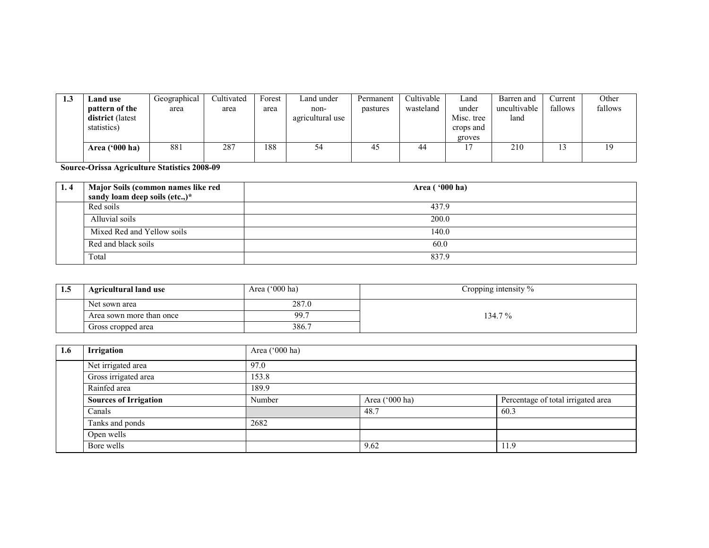| 1.3 | <b>Land use</b>         | Geographical | Cultivated | Forest | Land under       | Permanent | Cultivable | ∟and       | Barren and   | Current | Other   |
|-----|-------------------------|--------------|------------|--------|------------------|-----------|------------|------------|--------------|---------|---------|
|     | pattern of the          | area         | area       | area   | non-             | pastures  | wasteland  | under      | uncultivable | fallows | fallows |
|     | district (latest        |              |            |        | agricultural use |           |            | Misc. tree | land         |         |         |
|     | statistics)             |              |            |        |                  |           |            | crops and  |              |         |         |
|     |                         |              |            |        |                  |           |            | groves     |              |         |         |
|     | Area $(900 \text{ ha})$ | 881          | 287        | 188    | 54               | 45        | 44         |            | 210          | ⊥       |         |
|     |                         |              |            |        |                  |           |            |            |              |         |         |

Source-Orissa Agriculture Statistics 2008-09

| 1.4 | Major Soils (common names like red | Area ('000 ha) |
|-----|------------------------------------|----------------|
|     | sandy loam deep soils (etc.,)*     |                |
|     | Red soils                          | 437.9          |
|     | Alluvial soils                     | 200.0          |
|     | Mixed Red and Yellow soils         | 140.0          |
|     | Red and black soils                | 60.0           |
|     | Total                              | 837.9          |

| 1.5 | <b>Agricultural land use</b> | Area $(^{\circ}000$ ha) | Cropping intensity % |
|-----|------------------------------|-------------------------|----------------------|
|     | Net sown area                | 287.0                   |                      |
|     | Area sown more than once     | 99.7                    | 134.7%               |
|     | Gross cropped area           | 386.7                   |                      |

| 1.6 | Irrigation                   | Area ('000 ha) |                |                                    |  |  |
|-----|------------------------------|----------------|----------------|------------------------------------|--|--|
|     | Net irrigated area           | 97.0           |                |                                    |  |  |
|     | Gross irrigated area         | 153.8          |                |                                    |  |  |
|     | Rainfed area                 | 189.9          |                |                                    |  |  |
|     | <b>Sources of Irrigation</b> | Number         | Area ('000 ha) | Percentage of total irrigated area |  |  |
|     | Canals                       |                | 48.7           | 60.3                               |  |  |
|     | Tanks and ponds              | 2682           |                |                                    |  |  |
|     | Open wells                   |                |                |                                    |  |  |
|     | Bore wells                   |                | 9.62           | 1.9                                |  |  |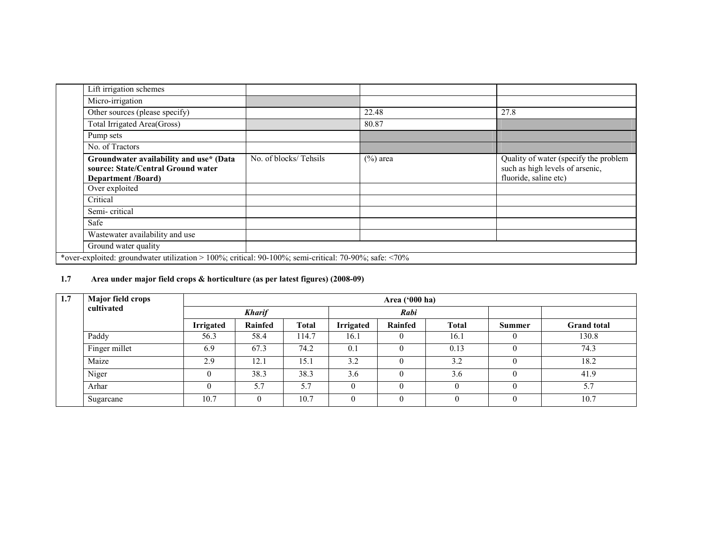| Lift irrigation schemes                                                                                    |                       |             |                                                                                                   |
|------------------------------------------------------------------------------------------------------------|-----------------------|-------------|---------------------------------------------------------------------------------------------------|
| Micro-irrigation                                                                                           |                       |             |                                                                                                   |
| Other sources (please specify)                                                                             |                       | 22.48       | 27.8                                                                                              |
| Total Irrigated Area(Gross)                                                                                |                       | 80.87       |                                                                                                   |
| Pump sets                                                                                                  |                       |             |                                                                                                   |
| No. of Tractors                                                                                            |                       |             |                                                                                                   |
| Groundwater availability and use* (Data<br>source: State/Central Ground water<br><b>Department /Board)</b> | No. of blocks/Tehsils | $(\%)$ area | Quality of water (specify the problem<br>such as high levels of arsenic,<br>fluoride, saline etc) |
| Over exploited                                                                                             |                       |             |                                                                                                   |
| Critical                                                                                                   |                       |             |                                                                                                   |
| Semi-critical                                                                                              |                       |             |                                                                                                   |
| Safe                                                                                                       |                       |             |                                                                                                   |
| Wastewater availability and use                                                                            |                       |             |                                                                                                   |
| Ground water quality                                                                                       |                       |             |                                                                                                   |
| *over-exploited: groundwater utilization > 100%; critical: 90-100%; semi-critical: 70-90%; safe: <70%      |                       |             |                                                                                                   |

### 1.7 Area under major field crops & horticulture (as per latest figures) (2008-09)

| 1.7 | Major field crops |                  |               |              |                  | Area $('000 ha)$ |              |        |                    |
|-----|-------------------|------------------|---------------|--------------|------------------|------------------|--------------|--------|--------------------|
|     | cultivated        |                  | <b>Kharif</b> |              |                  | Rabi             |              |        |                    |
|     |                   | <b>Irrigated</b> | Rainfed       | <b>Total</b> | <b>Irrigated</b> | Rainfed          | <b>Total</b> | Summer | <b>Grand</b> total |
|     | Paddy             | 56.3             | 58.4          | 114.7        | 16.1             | $\theta$         | 16.1         |        | 130.8              |
|     | Finger millet     | 6.9              | 67.3          | 74.2         | 0.1              | $\theta$         | 0.13         |        | 74.3               |
|     | Maize             | 2.9              | 12.1          | 15.1         | 3.2              | $\Omega$         | 3.2          |        | 18.2               |
|     | Niger             |                  | 38.3          | 38.3         | 3.6              | $\theta$         | 3.6          |        | 41.9               |
|     | Arhar             | $\Omega$         | 5.7           | 5.7          | $\theta$         | $\Omega$         |              |        | 5.7                |
|     | Sugarcane         | 10.7             |               | 10.7         | $\theta$         | $\theta$         |              |        | 10.7               |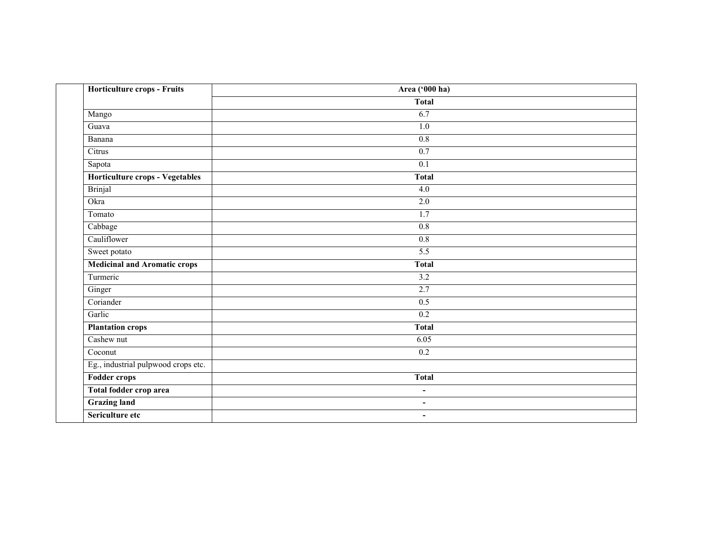| Horticulture crops - Fruits            | Area ('000 ha)           |  |
|----------------------------------------|--------------------------|--|
|                                        | <b>Total</b>             |  |
| Mango                                  | 6.7                      |  |
| Guava                                  | 1.0                      |  |
| Banana                                 | 0.8                      |  |
| Citrus                                 | 0.7                      |  |
| Sapota                                 | 0.1                      |  |
| <b>Horticulture crops - Vegetables</b> | <b>Total</b>             |  |
| <b>Brinjal</b>                         | $\overline{4.0}$         |  |
| Okra                                   | $\overline{2.0}$         |  |
| Tomato                                 | 1.7                      |  |
| Cabbage                                | 0.8                      |  |
| Cauliflower                            | 0.8                      |  |
| Sweet potato                           | 5.5                      |  |
| <b>Medicinal and Aromatic crops</b>    | <b>Total</b>             |  |
| Turmeric                               | $\overline{3.2}$         |  |
| Ginger                                 | 2.7                      |  |
| Coriander                              | 0.5                      |  |
| Garlic                                 | $\overline{0.2}$         |  |
| <b>Plantation crops</b>                | <b>Total</b>             |  |
| Cashew nut                             | 6.05                     |  |
| Coconut                                | $\overline{0.2}$         |  |
| Eg., industrial pulpwood crops etc.    |                          |  |
| <b>Fodder crops</b>                    | <b>Total</b>             |  |
| Total fodder crop area                 | $\overline{\phantom{0}}$ |  |
| <b>Grazing land</b>                    | $\blacksquare$           |  |
| Sericulture etc                        | $\overline{\phantom{a}}$ |  |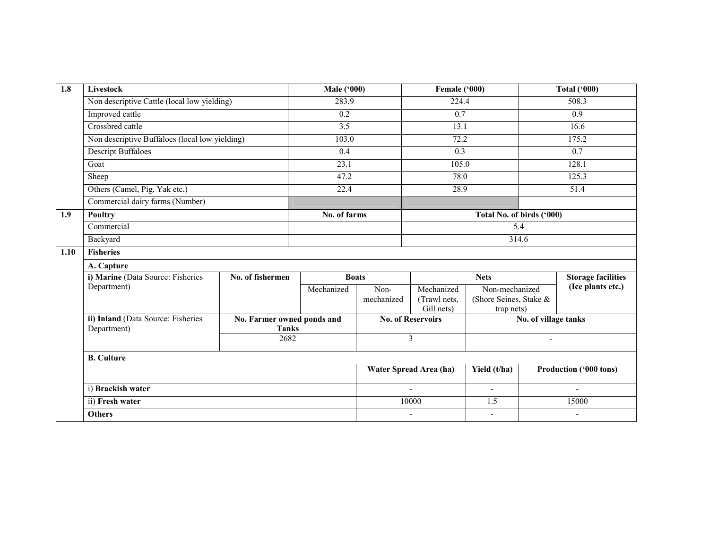| 1.8  | Livestock                                      |                            | <b>Male ('000)</b> |                        | Female ('000)              |                                      |                      | <b>Total ('000)</b>       |
|------|------------------------------------------------|----------------------------|--------------------|------------------------|----------------------------|--------------------------------------|----------------------|---------------------------|
|      | Non descriptive Cattle (local low yielding)    |                            | 283.9              |                        | 224.4                      |                                      |                      | 508.3                     |
|      | Improved cattle                                |                            | $\overline{0.2}$   |                        | $\overline{0.7}$           |                                      |                      | $\overline{0.9}$          |
|      | Crossbred cattle                               |                            | $\overline{3.5}$   |                        | 13.1                       |                                      |                      | 16.6                      |
|      | Non descriptive Buffaloes (local low yielding) |                            | 103.0              |                        | 72.2                       |                                      |                      | 175.2                     |
|      | <b>Descript Buffaloes</b>                      |                            | 0.4                |                        | 0.3                        |                                      |                      | 0.7                       |
|      | Goat                                           |                            | 23.1               |                        | 105.0                      |                                      |                      | 128.1                     |
|      | Sheep                                          |                            | 47.2               |                        | 78.0                       |                                      |                      | 125.3                     |
|      | Others (Camel, Pig, Yak etc.)                  |                            | 22.4               |                        | 28.9                       |                                      |                      | 51.4                      |
|      | Commercial dairy farms (Number)                |                            |                    |                        |                            |                                      |                      |                           |
| 1.9  | <b>Poultry</b>                                 |                            | No. of farms       |                        |                            | Total No. of birds ('000)            |                      |                           |
|      | Commercial                                     |                            |                    |                        |                            | 5.4                                  |                      |                           |
|      | Backyard                                       |                            |                    |                        |                            | 314.6                                |                      |                           |
| 1.10 | <b>Fisheries</b>                               |                            |                    |                        |                            |                                      |                      |                           |
|      | A. Capture                                     |                            |                    |                        |                            |                                      |                      |                           |
|      | i) Marine (Data Source: Fisheries              | No. of fishermen           |                    | <b>Boats</b>           |                            | <b>Nets</b>                          |                      | <b>Storage facilities</b> |
|      | Department)                                    |                            | Mechanized         | Non-                   | Mechanized                 | Non-mechanized                       |                      | (Ice plants etc.)         |
|      |                                                |                            |                    | mechanized             | (Trawl nets,<br>Gill nets) | (Shore Seines, Stake &<br>trap nets) |                      |                           |
|      | ii) Inland (Data Source: Fisheries             | No. Farmer owned ponds and |                    |                        | <b>No. of Reservoirs</b>   |                                      | No. of village tanks |                           |
|      | Department)                                    | <b>Tanks</b>               |                    |                        |                            |                                      |                      |                           |
|      |                                                | 2682                       |                    |                        | 3                          |                                      |                      |                           |
|      | <b>B.</b> Culture                              |                            |                    |                        |                            |                                      |                      |                           |
|      |                                                |                            |                    | Water Spread Area (ha) | Yield (t/ha)               | Production ('000 tons)               |                      |                           |
|      | i) Brackish water                              |                            |                    |                        | ÷,                         | $\blacksquare$                       |                      |                           |
|      | ii) Fresh water                                |                            |                    |                        | 10000                      | 1.5                                  |                      | 15000                     |
|      | <b>Others</b>                                  |                            |                    |                        | $\blacksquare$             | $\blacksquare$                       |                      | $\blacksquare$            |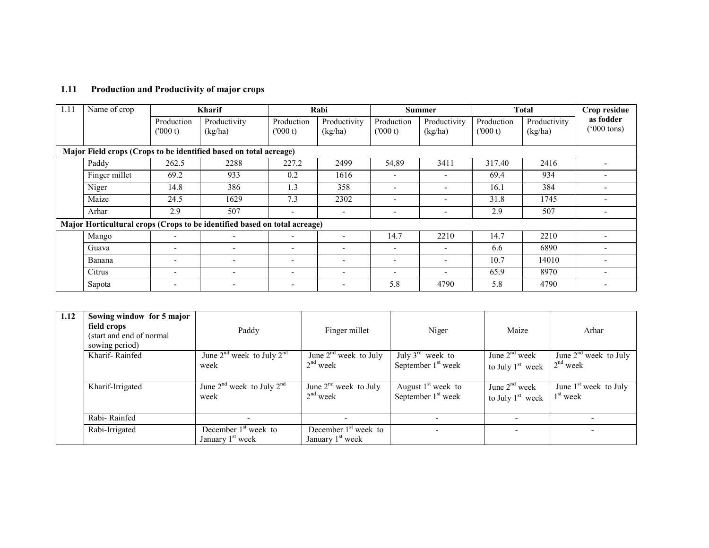### 1.11 Production and Productivity of major crops

| 1.11 | Name of crop  |                          | <b>Kharif</b>                                                             |                          | Rabi                     |                          | <b>Summer</b>            |                       | <b>Total</b>            | Crop residue                      |
|------|---------------|--------------------------|---------------------------------------------------------------------------|--------------------------|--------------------------|--------------------------|--------------------------|-----------------------|-------------------------|-----------------------------------|
|      |               | Production<br>(000 t)    | Productivity<br>(kg/ha)                                                   | Production<br>(000 t)    | Productivity<br>(kg/ha)  | Production<br>(000 t)    | Productivity<br>(kg/ha)  | Production<br>(000 t) | Productivity<br>(kg/ha) | as fodder<br>$(000 \text{ tons})$ |
|      |               |                          | Major Field crops (Crops to be identified based on total acreage)         |                          |                          |                          |                          |                       |                         |                                   |
|      | Paddy         | 262.5                    | 2288                                                                      | 227.2                    | 2499                     | 54,89                    | 3411                     | 317.40                | 2416                    |                                   |
|      | Finger millet | 69.2                     | 933                                                                       | 0.2                      | 1616                     |                          | $\overline{\phantom{0}}$ | 69.4                  | 934                     |                                   |
|      | Niger         | 14.8                     | 386                                                                       | 1.3                      | 358                      | $\overline{\phantom{0}}$ | $\overline{\phantom{0}}$ | 16.1                  | 384                     |                                   |
|      | Maize         | 24.5                     | 1629                                                                      | 7.3                      | 2302                     |                          | $\overline{\phantom{0}}$ | 31.8                  | 1745                    |                                   |
|      | Arhar         | 2.9                      | 507                                                                       | $\overline{\phantom{a}}$ | $\overline{\phantom{a}}$ | $\overline{\phantom{0}}$ | ۰                        | 2.9                   | 507                     |                                   |
|      |               |                          | Major Horticultural crops (Crops to be identified based on total acreage) |                          |                          |                          |                          |                       |                         |                                   |
|      | Mango         | ٠                        |                                                                           |                          | $\overline{\phantom{a}}$ | 14.7                     | 2210                     | 14.7                  | 2210                    |                                   |
|      | Guava         | ٠                        | $\overline{\phantom{a}}$                                                  | $\overline{\phantom{a}}$ | $\overline{\phantom{a}}$ | $\overline{a}$           | $\overline{\phantom{0}}$ | 6.6                   | 6890                    |                                   |
|      | Banana        | $\overline{\phantom{a}}$ | $\overline{\phantom{a}}$                                                  | $\overline{\phantom{a}}$ | $\overline{\phantom{a}}$ | $\overline{a}$           | $\overline{\phantom{0}}$ | 10.7                  | 14010                   |                                   |
|      | Citrus        | $\overline{\phantom{a}}$ | $\overline{\phantom{a}}$                                                  | $\overline{\phantom{a}}$ | $\overline{\phantom{a}}$ | <b>1</b>                 |                          | 65.9                  | 8970                    |                                   |
|      | Sapota        | $\overline{\phantom{a}}$ |                                                                           | $\overline{\phantom{a}}$ | $\overline{\phantom{a}}$ | 5.8                      | 4790                     | 5.8                   | 4790                    |                                   |

| 1.12 | Sowing window for 5 major<br>field crops<br>(start and end of normal<br>sowing period) | Paddy                                                  | Finger millet                                                     | Niger                                                          | Maize                                           | Arhar                                 |
|------|----------------------------------------------------------------------------------------|--------------------------------------------------------|-------------------------------------------------------------------|----------------------------------------------------------------|-------------------------------------------------|---------------------------------------|
|      | Kharif-Rainfed                                                                         | June $2nd$ week to July $2nd$<br>week                  | $\overline{\text{June 2}}^{\text{nd}}$ week to July<br>$2nd$ week | July $3^{\text{rd}}$ week to<br>September 1 <sup>st</sup> week | June $2nd$ week<br>to July 1 <sup>st</sup> week | June $2nd$ week to July<br>$2nd$ week |
|      | Kharif-Irrigated                                                                       | June $2^{nd}$ week to July $2^{nd}$<br>week            | June $2nd$ week to July<br>$2nd$ week                             | August $1st$ week to<br>September 1 <sup>st</sup> week         | June $2nd$ week<br>to July $1st$ week           | June $1st$ week to July<br>$1st$ week |
|      | Rabi-Rainfed                                                                           |                                                        |                                                                   |                                                                |                                                 |                                       |
|      | Rabi-Irrigated                                                                         | December $1st$ week to<br>January 1 <sup>st</sup> week | December $1st$ week to<br>January 1 <sup>st</sup> week            |                                                                |                                                 |                                       |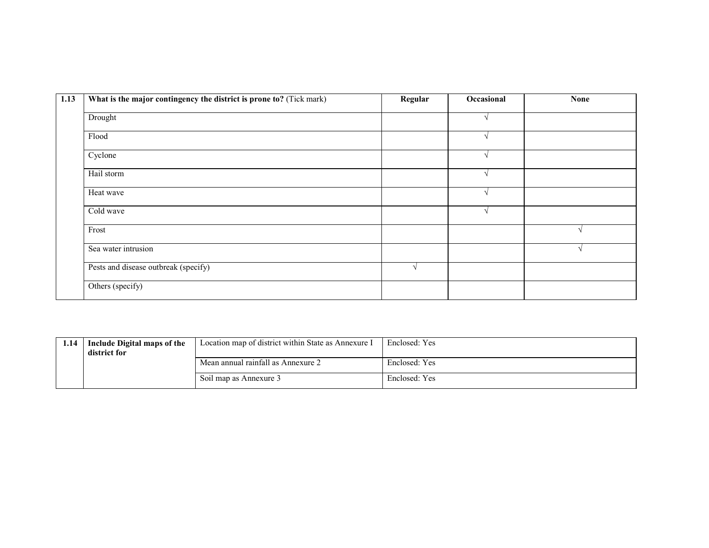| 1.13 | What is the major contingency the district is prone to? (Tick mark) | Regular       | Occasional | <b>None</b> |
|------|---------------------------------------------------------------------|---------------|------------|-------------|
|      | Drought                                                             |               |            |             |
|      | Flood                                                               |               |            |             |
|      | Cyclone                                                             |               |            |             |
|      | Hail storm                                                          |               |            |             |
|      | Heat wave                                                           |               |            |             |
|      | Cold wave                                                           |               |            |             |
|      | Frost                                                               |               |            |             |
|      | Sea water intrusion                                                 |               |            |             |
|      | Pests and disease outbreak (specify)                                | $\mathcal{N}$ |            |             |
|      | Others (specify)                                                    |               |            |             |

| 1.14 | Include Digital maps of the<br>district for | Location map of district within State as Annexure I | Enclosed: Yes |
|------|---------------------------------------------|-----------------------------------------------------|---------------|
|      |                                             | Mean annual rainfall as Annexure 2                  | Enclosed: Yes |
|      |                                             | Soil map as Annexure 3                              | Enclosed: Yes |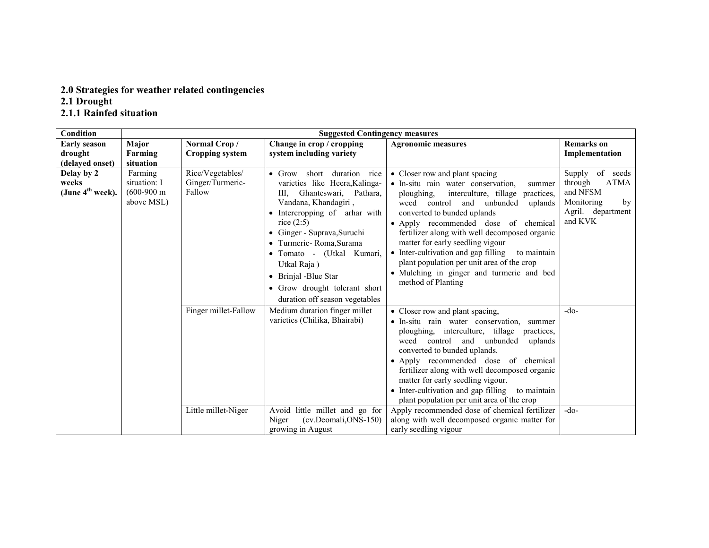# 2.0 Strategies for weather related contingencies 2.1 Drought 2.1.1 Rainfed situation

| Condition                                 | <b>Suggested Contingency measures</b>                          |                                                |                                                                                                                                                                                                                                                                                                                                                                                    |                                                                                                                                                                                                                                                                                                                                                                                                                                                                                                                                                                           |                                                                                                              |  |
|-------------------------------------------|----------------------------------------------------------------|------------------------------------------------|------------------------------------------------------------------------------------------------------------------------------------------------------------------------------------------------------------------------------------------------------------------------------------------------------------------------------------------------------------------------------------|---------------------------------------------------------------------------------------------------------------------------------------------------------------------------------------------------------------------------------------------------------------------------------------------------------------------------------------------------------------------------------------------------------------------------------------------------------------------------------------------------------------------------------------------------------------------------|--------------------------------------------------------------------------------------------------------------|--|
| <b>Early season</b>                       | <b>Major</b>                                                   | Normal Crop/                                   | Change in crop / cropping                                                                                                                                                                                                                                                                                                                                                          | <b>Agronomic measures</b>                                                                                                                                                                                                                                                                                                                                                                                                                                                                                                                                                 | <b>Remarks</b> on                                                                                            |  |
| drought                                   | Farming                                                        | <b>Cropping system</b>                         | system including variety                                                                                                                                                                                                                                                                                                                                                           |                                                                                                                                                                                                                                                                                                                                                                                                                                                                                                                                                                           | Implementation                                                                                               |  |
| (delayed onset)                           | situation                                                      |                                                |                                                                                                                                                                                                                                                                                                                                                                                    |                                                                                                                                                                                                                                                                                                                                                                                                                                                                                                                                                                           |                                                                                                              |  |
| Delay by 2<br>weeks<br>(June $4th$ week). | Farming<br>situation: I<br>$(600-900 \text{ m})$<br>above MSL) | Rice/Vegetables/<br>Ginger/Turmeric-<br>Fallow | short duration rice<br>$\bullet$ Grow<br>varieties like Heera, Kalinga-<br>Ghanteswari, Pathara,<br>III.<br>Vandana, Khandagiri,<br>• Intercropping of arhar with<br>rice $(2:5)$<br>· Ginger - Suprava, Suruchi<br>• Turmeric-Roma, Surama<br>• Tomato - (Utkal Kumari,<br>Utkal Raja)<br>• Brinjal -Blue Star<br>• Grow drought tolerant short<br>duration off season vegetables | • Closer row and plant spacing<br>• In-situ rain water conservation,<br>summer<br>ploughing,<br>interculture, tillage<br>practices.<br>weed<br>control<br>and unbunded<br>uplands<br>converted to bunded uplands<br>• Apply recommended dose of chemical<br>fertilizer along with well decomposed organic<br>matter for early seedling vigour<br>• Inter-cultivation and gap filling<br>to maintain<br>plant population per unit area of the crop<br>· Mulching in ginger and turmeric and bed<br>method of Planting                                                      | of seeds<br>Supply<br><b>ATMA</b><br>through<br>and NFSM<br>Monitoring<br>by<br>Agril. department<br>and KVK |  |
|                                           |                                                                | Finger millet-Fallow<br>Little millet-Niger    | Medium duration finger millet<br>varieties (Chilika, Bhairabi)<br>Avoid little millet and go for<br>(cv.Deomali, ONS-150)<br>Niger<br>growing in August                                                                                                                                                                                                                            | • Closer row and plant spacing,<br>· In-situ rain water conservation,<br>summer<br>ploughing, interculture, tillage<br>practices,<br>weed<br>control and unbunded<br>uplands<br>converted to bunded uplands.<br>• Apply recommended dose of chemical<br>fertilizer along with well decomposed organic<br>matter for early seedling vigour.<br>• Inter-cultivation and gap filling<br>to maintain<br>plant population per unit area of the crop<br>Apply recommended dose of chemical fertilizer<br>along with well decomposed organic matter for<br>early seedling vigour | -do-<br>$-do-$                                                                                               |  |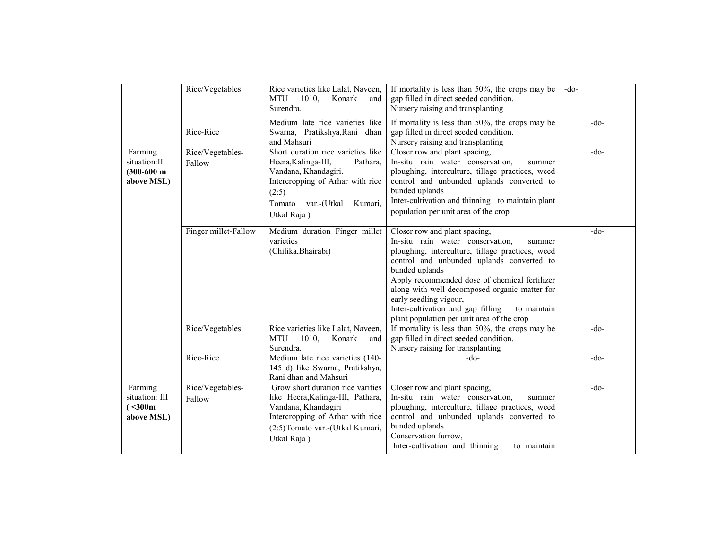|                                                        | Rice/Vegetables            | Rice varieties like Lalat, Naveen,<br>MTU 1010,<br>Konark<br>and<br>Surendra.                                                                                                              | If mortality is less than 50%, the crops may be<br>gap filled in direct seeded condition.<br>Nursery raising and transplanting                                                                                                                                                                                                                                                                                               | $-do-$ |
|--------------------------------------------------------|----------------------------|--------------------------------------------------------------------------------------------------------------------------------------------------------------------------------------------|------------------------------------------------------------------------------------------------------------------------------------------------------------------------------------------------------------------------------------------------------------------------------------------------------------------------------------------------------------------------------------------------------------------------------|--------|
|                                                        | Rice-Rice                  | Medium late rice varieties like<br>Swarna, Pratikshya, Rani dhan<br>and Mahsuri                                                                                                            | If mortality is less than 50%, the crops may be<br>gap filled in direct seeded condition.<br>Nursery raising and transplanting                                                                                                                                                                                                                                                                                               | -do-   |
| Farming<br>situation:II<br>$(300-600)$ m<br>above MSL) | Rice/Vegetables-<br>Fallow | Short duration rice varieties like<br>Heera, Kalinga-III,<br>Pathara,<br>Vandana, Khandagiri.<br>Intercropping of Arhar with rice<br>(2:5)<br>Tomato var.-(Utkal<br>Kumari,<br>Utkal Raja) | Closer row and plant spacing,<br>In-situ rain water conservation,<br>summer<br>ploughing, interculture, tillage practices, weed<br>control and unbunded uplands converted to<br>bunded uplands<br>Inter-cultivation and thinning to maintain plant<br>population per unit area of the crop                                                                                                                                   | $-do-$ |
|                                                        | Finger millet-Fallow       | Medium duration Finger millet<br>varieties<br>(Chilika, Bhairabi)                                                                                                                          | Closer row and plant spacing,<br>In-situ rain water conservation,<br>summer<br>ploughing, interculture, tillage practices, weed<br>control and unbunded uplands converted to<br>bunded uplands<br>Apply recommended dose of chemical fertilizer<br>along with well decomposed organic matter for<br>early seedling vigour,<br>Inter-cultivation and gap filling<br>to maintain<br>plant population per unit area of the crop | $-do-$ |
|                                                        | Rice/Vegetables            | Rice varieties like Lalat, Naveen,<br>MTU<br>1010,<br>Konark<br>and<br>Surendra.                                                                                                           | If mortality is less than 50%, the crops may be<br>gap filled in direct seeded condition.<br>Nursery raising for transplanting                                                                                                                                                                                                                                                                                               | $-do-$ |
|                                                        | Rice-Rice                  | Medium late rice varieties (140-<br>145 d) like Swarna, Pratikshya,<br>Rani dhan and Mahsuri                                                                                               | -do-                                                                                                                                                                                                                                                                                                                                                                                                                         | $-do-$ |
| Farming<br>situation: III<br>(300m)<br>above MSL)      | Rice/Vegetables-<br>Fallow | Grow short duration rice varities<br>like Heera, Kalinga-III, Pathara,<br>Vandana, Khandagiri<br>Intercropping of Arhar with rice<br>(2:5) Tomato var.-(Utkal Kumari,<br>Utkal Raja)       | Closer row and plant spacing,<br>In-situ rain water conservation,<br>summer<br>ploughing, interculture, tillage practices, weed<br>control and unbunded uplands converted to<br>bunded uplands<br>Conservation furrow,<br>Inter-cultivation and thinning<br>to maintain                                                                                                                                                      | $-do-$ |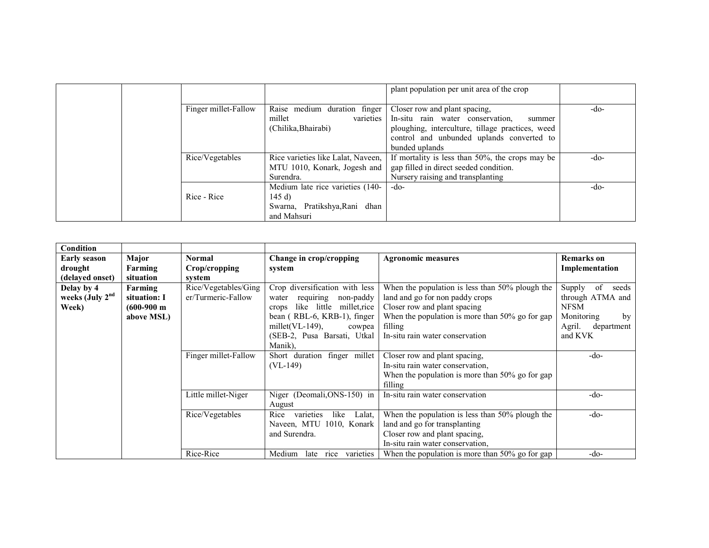|                      |                                    | plant population per unit area of the crop       |      |
|----------------------|------------------------------------|--------------------------------------------------|------|
| Finger millet-Fallow | Raise medium duration finger       | Closer row and plant spacing,                    | -do- |
|                      | varieties<br>millet                | In-situ rain water conservation,<br>summer       |      |
|                      | (Chilika, Bhairabi)                | ploughing, interculture, tillage practices, weed |      |
|                      |                                    | control and unbunded uplands converted to        |      |
|                      |                                    | bunded uplands                                   |      |
| Rice/Vegetables      | Rice varieties like Lalat, Naveen, | If mortality is less than 50%, the crops may be  | -do- |
|                      | MTU 1010, Konark, Jogesh and       | gap filled in direct seeded condition.           |      |
|                      | Surendra.                          | Nursery raising and transplanting                |      |
|                      | Medium late rice varieties (140-   | $-do-$                                           | -do- |
| Rice - Rice          | 145 $d$                            |                                                  |      |
|                      | Pratikshya, Rani dhan<br>Swarna,   |                                                  |      |
|                      | and Mahsuri                        |                                                  |      |

| Condition           |                       |                      |                                      |                                                    |                       |
|---------------------|-----------------------|----------------------|--------------------------------------|----------------------------------------------------|-----------------------|
| <b>Early season</b> | Major                 | Normal               | Change in crop/cropping              | <b>Agronomic measures</b>                          | <b>Remarks</b> on     |
| drought             | Farming               | Crop/cropping        | system                               |                                                    | Implementation        |
| (delayed onset)     | situation             | system               |                                      |                                                    |                       |
|                     |                       |                      |                                      |                                                    |                       |
| Delay by 4          | Farming               | Rice/Vegetables/Ging | Crop diversification with less       | When the population is less than 50% plough the    | Supply<br>of<br>seeds |
| weeks (July $2nd$   | situation: I          | er/Turmeric-Fallow   | requiring<br>non-paddy<br>water      | land and go for non paddy crops                    | through ATMA and      |
| Week)               | $(600-900 \text{ m})$ |                      | like<br>little millet, rice<br>crops | Closer row and plant spacing                       | <b>NFSM</b>           |
|                     | above MSL)            |                      | bean (RBL-6, KRB-1), finger          | When the population is more than $50\%$ go for gap | Monitoring<br>by      |
|                     |                       |                      | millet( $VL-149$ ),<br>cowpea        | filling                                            | Agril.<br>department  |
|                     |                       |                      | (SEB-2, Pusa Barsati, Utkal          | In-situ rain water conservation                    | and KVK               |
|                     |                       |                      | Manik).                              |                                                    |                       |
|                     |                       | Finger millet-Fallow | Short duration finger millet         | Closer row and plant spacing,                      | $-do-$                |
|                     |                       |                      | $(VL-149)$                           | In-situ rain water conservation.                   |                       |
|                     |                       |                      |                                      | When the population is more than $50\%$ go for gap |                       |
|                     |                       |                      |                                      | filling                                            |                       |
|                     |                       | Little millet-Niger  | Niger (Deomali, ONS-150) in          | In-situ rain water conservation                    | $-do-$                |
|                     |                       |                      | August                               |                                                    |                       |
|                     |                       | Rice/Vegetables      | varieties<br>like<br>Rice<br>Lalat.  | When the population is less than 50% plough the    | -do-                  |
|                     |                       |                      | Naveen, MTU 1010, Konark             | land and go for transplanting                      |                       |
|                     |                       |                      | and Surendra.                        | Closer row and plant spacing,                      |                       |
|                     |                       |                      |                                      | In-situ rain water conservation.                   |                       |
|                     |                       | Rice-Rice            | rice varieties<br>Medium<br>late     | When the population is more than $50\%$ go for gap | -do-                  |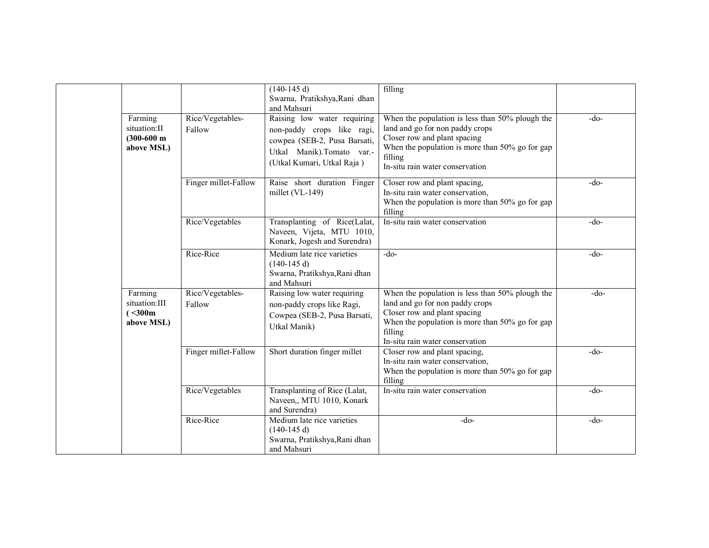|                                                        |                            | $(140-145 d)$<br>Swarna, Pratikshya, Rani dhan<br>and Mahsuri                                                                                        | filling                                                                                                                                                                                                             |        |
|--------------------------------------------------------|----------------------------|------------------------------------------------------------------------------------------------------------------------------------------------------|---------------------------------------------------------------------------------------------------------------------------------------------------------------------------------------------------------------------|--------|
| Farming<br>situation:II<br>$(300-600)$ m<br>above MSL) | Rice/Vegetables-<br>Fallow | Raising low water requiring<br>non-paddy crops like ragi,<br>cowpea (SEB-2, Pusa Barsati,<br>Utkal Manik).Tomato var.-<br>(Utkal Kumari, Utkal Raja) | When the population is less than 50% plough the<br>land and go for non paddy crops<br>Closer row and plant spacing<br>When the population is more than 50% go for gap<br>filling<br>In-situ rain water conservation | $-do-$ |
|                                                        | Finger millet-Fallow       | Raise short duration Finger<br>millet $(VL-149)$                                                                                                     | Closer row and plant spacing,<br>In-situ rain water conservation,<br>When the population is more than 50% go for gap<br>filling                                                                                     | $-do-$ |
|                                                        | Rice/Vegetables            | Transplanting of Rice(Lalat,<br>Naveen, Vijeta, MTU 1010,<br>Konark, Jogesh and Surendra)                                                            | In-situ rain water conservation                                                                                                                                                                                     | $-do-$ |
|                                                        | Rice-Rice                  | Medium late rice varieties<br>$(140-145 d)$<br>Swarna, Pratikshya, Rani dhan<br>and Mahsuri                                                          | $-do-$                                                                                                                                                                                                              | $-do-$ |
| Farming<br>situation:III<br>(300m)<br>above MSL)       | Rice/Vegetables-<br>Fallow | Raising low water requiring<br>non-paddy crops like Ragi,<br>Cowpea (SEB-2, Pusa Barsati,<br>Utkal Manik)                                            | When the population is less than 50% plough the<br>land and go for non paddy crops<br>Closer row and plant spacing<br>When the population is more than 50% go for gap<br>filling<br>In-situ rain water conservation | $-do-$ |
|                                                        | Finger millet-Fallow       | Short duration finger millet                                                                                                                         | Closer row and plant spacing,<br>In-situ rain water conservation,<br>When the population is more than 50% go for gap<br>filling                                                                                     | $-do-$ |
|                                                        | Rice/Vegetables            | Transplanting of Rice (Lalat,<br>Naveen,, MTU 1010, Konark<br>and Surendra)                                                                          | In-situ rain water conservation                                                                                                                                                                                     | $-do-$ |
|                                                        | Rice-Rice                  | Medium late rice varieties<br>$(140-145d)$<br>Swarna, Pratikshya, Rani dhan<br>and Mahsuri                                                           | -do-                                                                                                                                                                                                                | $-do-$ |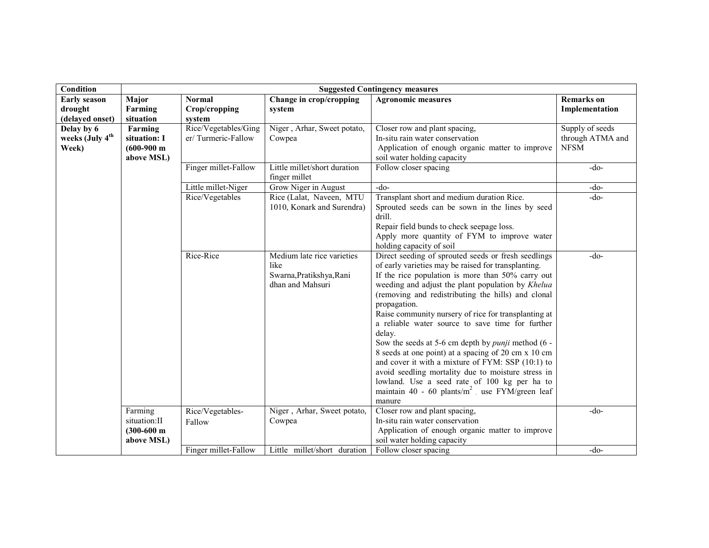| Condition                   | <b>Suggested Contingency measures</b>    |                            |                                                                                    |                                                                                                                                                                                                                                                                                                                                                                                                                                                                                                                                                                                                                                                                                                                                                                |                   |
|-----------------------------|------------------------------------------|----------------------------|------------------------------------------------------------------------------------|----------------------------------------------------------------------------------------------------------------------------------------------------------------------------------------------------------------------------------------------------------------------------------------------------------------------------------------------------------------------------------------------------------------------------------------------------------------------------------------------------------------------------------------------------------------------------------------------------------------------------------------------------------------------------------------------------------------------------------------------------------------|-------------------|
| <b>Early season</b>         | Major                                    | <b>Normal</b>              | Change in crop/cropping                                                            | <b>Agronomic measures</b>                                                                                                                                                                                                                                                                                                                                                                                                                                                                                                                                                                                                                                                                                                                                      | <b>Remarks</b> on |
| drought                     | Farming                                  | Crop/cropping              | system                                                                             |                                                                                                                                                                                                                                                                                                                                                                                                                                                                                                                                                                                                                                                                                                                                                                | Implementation    |
| (delayed onset)             | situation                                | system                     |                                                                                    |                                                                                                                                                                                                                                                                                                                                                                                                                                                                                                                                                                                                                                                                                                                                                                |                   |
| Delay by 6                  | Farming                                  | Rice/Vegetables/Ging       | Niger, Arhar, Sweet potato,                                                        | Closer row and plant spacing,                                                                                                                                                                                                                                                                                                                                                                                                                                                                                                                                                                                                                                                                                                                                  | Supply of seeds   |
| weeks (July 4 <sup>th</sup> | situation: I                             | er/Turmeric-Fallow         | Cowpea                                                                             | In-situ rain water conservation                                                                                                                                                                                                                                                                                                                                                                                                                                                                                                                                                                                                                                                                                                                                | through ATMA and  |
| Week)                       | $(600-900)$ m<br>above MSL)              |                            |                                                                                    | Application of enough organic matter to improve<br>soil water holding capacity                                                                                                                                                                                                                                                                                                                                                                                                                                                                                                                                                                                                                                                                                 | <b>NFSM</b>       |
|                             |                                          | Finger millet-Fallow       | Little millet/short duration<br>finger millet                                      | Follow closer spacing                                                                                                                                                                                                                                                                                                                                                                                                                                                                                                                                                                                                                                                                                                                                          | $-do-$            |
|                             |                                          | Little millet-Niger        | Grow Niger in August                                                               | $-do-$                                                                                                                                                                                                                                                                                                                                                                                                                                                                                                                                                                                                                                                                                                                                                         | $-do-$            |
|                             |                                          | Rice/Vegetables            | Rice (Lalat, Naveen, MTU<br>1010, Konark and Surendra)                             | Transplant short and medium duration Rice.<br>Sprouted seeds can be sown in the lines by seed<br>drill.<br>Repair field bunds to check seepage loss.<br>Apply more quantity of FYM to improve water                                                                                                                                                                                                                                                                                                                                                                                                                                                                                                                                                            | $-do-$            |
|                             |                                          |                            |                                                                                    | holding capacity of soil                                                                                                                                                                                                                                                                                                                                                                                                                                                                                                                                                                                                                                                                                                                                       |                   |
|                             |                                          | Rice-Rice                  | Medium late rice varieties<br>like<br>Swarna, Pratikshya, Rani<br>dhan and Mahsuri | Direct seeding of sprouted seeds or fresh seedlings<br>of early varieties may be raised for transplanting.<br>If the rice population is more than 50% carry out<br>weeding and adjust the plant population by Khelua<br>(removing and redistributing the hills) and clonal<br>propagation.<br>Raise community nursery of rice for transplanting at<br>a reliable water source to save time for further<br>delay.<br>Sow the seeds at 5-6 cm depth by <i>punji</i> method (6 -<br>8 seeds at one point) at a spacing of 20 cm x 10 cm<br>and cover it with a mixture of FYM: SSP (10:1) to<br>avoid seedling mortality due to moisture stress in<br>lowland. Use a seed rate of 100 kg per ha to<br>maintain 40 - 60 plants/ $m^2$ use FYM/green leaf<br>manure | $-do-$            |
|                             | Farming<br>situation:II<br>$(300-600)$ m | Rice/Vegetables-<br>Fallow | Niger, Arhar, Sweet potato,<br>Cowpea                                              | Closer row and plant spacing,<br>In-situ rain water conservation<br>Application of enough organic matter to improve                                                                                                                                                                                                                                                                                                                                                                                                                                                                                                                                                                                                                                            | $-do-$            |
|                             | above MSL)                               | Finger millet-Fallow       | Little millet/short duration                                                       | soil water holding capacity<br>Follow closer spacing                                                                                                                                                                                                                                                                                                                                                                                                                                                                                                                                                                                                                                                                                                           |                   |
|                             |                                          |                            |                                                                                    |                                                                                                                                                                                                                                                                                                                                                                                                                                                                                                                                                                                                                                                                                                                                                                | $-do-$            |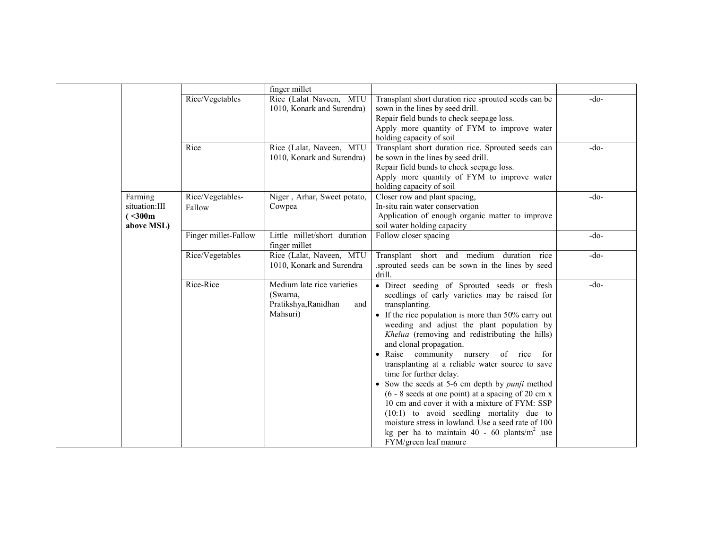|                                                    |                            | finger millet                                                                     |                                                                                                                                                                                                                                                                                                                                                                                                                                                                                                                                                                                                                                                                                                                                                                              |        |
|----------------------------------------------------|----------------------------|-----------------------------------------------------------------------------------|------------------------------------------------------------------------------------------------------------------------------------------------------------------------------------------------------------------------------------------------------------------------------------------------------------------------------------------------------------------------------------------------------------------------------------------------------------------------------------------------------------------------------------------------------------------------------------------------------------------------------------------------------------------------------------------------------------------------------------------------------------------------------|--------|
|                                                    | Rice/Vegetables            | Rice (Lalat Naveen, MTU<br>1010, Konark and Surendra)                             | Transplant short duration rice sprouted seeds can be<br>sown in the lines by seed drill.<br>Repair field bunds to check seepage loss.<br>Apply more quantity of FYM to improve water<br>holding capacity of soil                                                                                                                                                                                                                                                                                                                                                                                                                                                                                                                                                             | $-do-$ |
|                                                    | Rice                       | Rice (Lalat, Naveen, MTU<br>1010, Konark and Surendra)                            | Transplant short duration rice. Sprouted seeds can<br>be sown in the lines by seed drill.<br>Repair field bunds to check seepage loss.<br>Apply more quantity of FYM to improve water<br>holding capacity of soil                                                                                                                                                                                                                                                                                                                                                                                                                                                                                                                                                            | $-do-$ |
| Farming<br>situation:III<br>(< 300 m<br>above MSL) | Rice/Vegetables-<br>Fallow | Niger, Arhar, Sweet potato,<br>Cowpea                                             | Closer row and plant spacing,<br>In-situ rain water conservation<br>Application of enough organic matter to improve<br>soil water holding capacity                                                                                                                                                                                                                                                                                                                                                                                                                                                                                                                                                                                                                           | $-do-$ |
|                                                    | Finger millet-Fallow       | Little millet/short duration<br>finger millet                                     | Follow closer spacing                                                                                                                                                                                                                                                                                                                                                                                                                                                                                                                                                                                                                                                                                                                                                        | $-do-$ |
|                                                    | Rice/Vegetables            | Rice (Lalat, Naveen, MTU<br>1010, Konark and Surendra                             | Transplant short and medium duration rice<br>sprouted seeds can be sown in the lines by seed<br>drill.                                                                                                                                                                                                                                                                                                                                                                                                                                                                                                                                                                                                                                                                       | $-do-$ |
|                                                    | Rice-Rice                  | Medium late rice varieties<br>(Swarna,<br>Pratikshya, Ranidhan<br>and<br>Mahsuri) | · Direct seeding of Sprouted seeds or fresh<br>seedlings of early varieties may be raised for<br>transplanting.<br>• If the rice population is more than 50% carry out<br>weeding and adjust the plant population by<br>Khelua (removing and redistributing the hills)<br>and clonal propagation.<br>• Raise community nursery of rice for<br>transplanting at a reliable water source to save<br>time for further delay.<br>• Sow the seeds at 5-6 cm depth by <i>punji</i> method<br>$(6 - 8$ seeds at one point) at a spacing of 20 cm x<br>10 cm and cover it with a mixture of FYM: SSP<br>$(10:1)$ to avoid seedling mortality due to<br>moisture stress in lowland. Use a seed rate of 100<br>kg per ha to maintain 40 - 60 plants/ $m2$ use<br>FYM/green leaf manure | $-do-$ |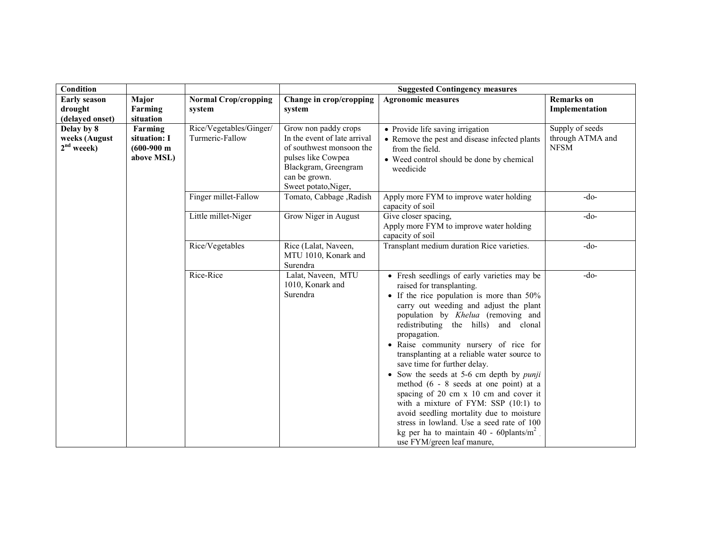| Condition                                   |                                                                |                             | <b>Suggested Contingency measures</b>                                                                                          |                                                                                                                                                                                                                                                                                                                                                                                                                                                                                                                                                                                                                                                                                                                                               |                                 |
|---------------------------------------------|----------------------------------------------------------------|-----------------------------|--------------------------------------------------------------------------------------------------------------------------------|-----------------------------------------------------------------------------------------------------------------------------------------------------------------------------------------------------------------------------------------------------------------------------------------------------------------------------------------------------------------------------------------------------------------------------------------------------------------------------------------------------------------------------------------------------------------------------------------------------------------------------------------------------------------------------------------------------------------------------------------------|---------------------------------|
| <b>Early season</b>                         | Major                                                          | <b>Normal Crop/cropping</b> | Change in crop/cropping                                                                                                        | <b>Agronomic measures</b>                                                                                                                                                                                                                                                                                                                                                                                                                                                                                                                                                                                                                                                                                                                     | <b>Remarks</b> on               |
| drought                                     | Farming                                                        | system                      | system                                                                                                                         |                                                                                                                                                                                                                                                                                                                                                                                                                                                                                                                                                                                                                                                                                                                                               | Implementation                  |
| (delayed onset)                             | situation                                                      | Rice/Vegetables/Ginger/     |                                                                                                                                |                                                                                                                                                                                                                                                                                                                                                                                                                                                                                                                                                                                                                                                                                                                                               | Supply of seeds                 |
| Delay by 8<br>weeks (August<br>$2nd$ weeek) | Farming<br>situation: I<br>$(600-900 \text{ m})$<br>above MSL) | Turmeric-Fallow             | Grow non paddy crops<br>In the event of late arrival<br>of southwest monsoon the<br>pulses like Cowpea<br>Blackgram, Greengram | • Provide life saving irrigation<br>• Remove the pest and disease infected plants<br>from the field.<br>• Weed control should be done by chemical<br>weedicide                                                                                                                                                                                                                                                                                                                                                                                                                                                                                                                                                                                | through ATMA and<br><b>NFSM</b> |
|                                             |                                                                |                             | can be grown.<br>Sweet potato, Niger,                                                                                          |                                                                                                                                                                                                                                                                                                                                                                                                                                                                                                                                                                                                                                                                                                                                               |                                 |
|                                             |                                                                | Finger millet-Fallow        | Tomato, Cabbage, Radish                                                                                                        | Apply more FYM to improve water holding<br>capacity of soil                                                                                                                                                                                                                                                                                                                                                                                                                                                                                                                                                                                                                                                                                   | -do-                            |
|                                             |                                                                | Little millet-Niger         | Grow Niger in August                                                                                                           | Give closer spacing,<br>Apply more FYM to improve water holding<br>capacity of soil                                                                                                                                                                                                                                                                                                                                                                                                                                                                                                                                                                                                                                                           | $-do-$                          |
|                                             |                                                                | Rice/Vegetables             | Rice (Lalat, Naveen,<br>MTU 1010, Konark and<br>Surendra                                                                       | Transplant medium duration Rice varieties.                                                                                                                                                                                                                                                                                                                                                                                                                                                                                                                                                                                                                                                                                                    | $-do-$                          |
|                                             |                                                                | Rice-Rice                   | Lalat, Naveen, MTU<br>1010, Konark and<br>Surendra                                                                             | • Fresh seedlings of early varieties may be<br>raised for transplanting.<br>• If the rice population is more than $50\%$<br>carry out weeding and adjust the plant<br>population by Khelua (removing and<br>redistributing the hills) and clonal<br>propagation.<br>• Raise community nursery of rice for<br>transplanting at a reliable water source to<br>save time for further delay.<br>• Sow the seeds at 5-6 cm depth by <i>punji</i><br>method $(6 - 8$ seeds at one point) at a<br>spacing of 20 cm x 10 cm and cover it<br>with a mixture of FYM: SSP (10:1) to<br>avoid seedling mortality due to moisture<br>stress in lowland. Use a seed rate of 100<br>kg per ha to maintain 40 - 60plants/ $m^2$<br>use FYM/green leaf manure, | $-do-$                          |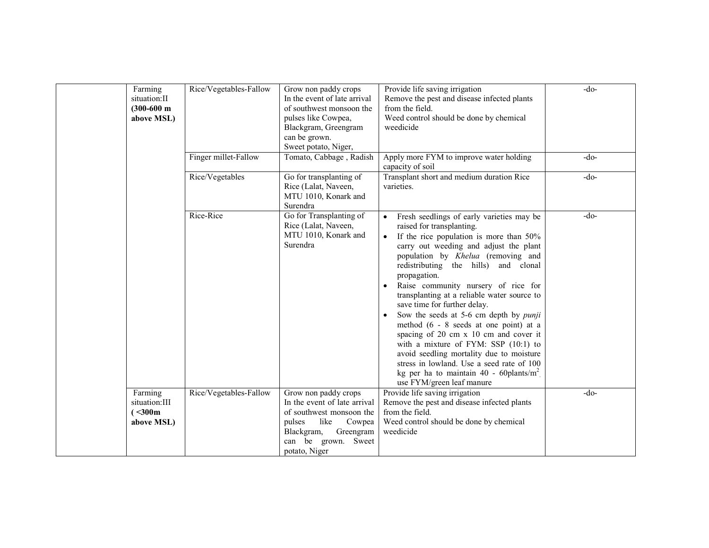| Farming<br>situation: II<br>$(300-600)$ m<br>above MSL) | Rice/Vegetables-Fallow | Grow non paddy crops<br>In the event of late arrival<br>of southwest monsoon the<br>pulses like Cowpea,<br>Blackgram, Greengram<br>can be grown.<br>Sweet potato, Niger, | Provide life saving irrigation<br>Remove the pest and disease infected plants<br>from the field.<br>Weed control should be done by chemical<br>weedicide                                                                                                                                                                                                                                                                                                                                                                                                                                                                                                                                                                                                                           | $-do-$ |
|---------------------------------------------------------|------------------------|--------------------------------------------------------------------------------------------------------------------------------------------------------------------------|------------------------------------------------------------------------------------------------------------------------------------------------------------------------------------------------------------------------------------------------------------------------------------------------------------------------------------------------------------------------------------------------------------------------------------------------------------------------------------------------------------------------------------------------------------------------------------------------------------------------------------------------------------------------------------------------------------------------------------------------------------------------------------|--------|
|                                                         | Finger millet-Fallow   | Tomato, Cabbage, Radish                                                                                                                                                  | Apply more FYM to improve water holding<br>capacity of soil                                                                                                                                                                                                                                                                                                                                                                                                                                                                                                                                                                                                                                                                                                                        | $-do-$ |
|                                                         | Rice/Vegetables        | Go for transplanting of<br>Rice (Lalat, Naveen,<br>MTU 1010, Konark and<br>Surendra                                                                                      | Transplant short and medium duration Rice<br>varieties.                                                                                                                                                                                                                                                                                                                                                                                                                                                                                                                                                                                                                                                                                                                            | $-do-$ |
|                                                         | Rice-Rice              | Go for Transplanting of<br>Rice (Lalat, Naveen,<br>MTU 1010, Konark and<br>Surendra                                                                                      | Fresh seedlings of early varieties may be<br>$\bullet$<br>raised for transplanting.<br>If the rice population is more than $50\%$<br>$\bullet$<br>carry out weeding and adjust the plant<br>population by Khelua (removing and<br>redistributing the hills) and clonal<br>propagation.<br>Raise community nursery of rice for<br>$\bullet$<br>transplanting at a reliable water source to<br>save time for further delay.<br>Sow the seeds at 5-6 cm depth by <i>punji</i><br>method (6 - 8 seeds at one point) at a<br>spacing of 20 cm x 10 cm and cover it<br>with a mixture of FYM: SSP (10:1) to<br>avoid seedling mortality due to moisture<br>stress in lowland. Use a seed rate of 100<br>kg per ha to maintain 40 - 60 plants/m <sup>2</sup><br>use FYM/green leaf manure | $-do-$ |
| Farming<br>situation:III                                | Rice/Vegetables-Fallow | Grow non paddy crops<br>In the event of late arrival                                                                                                                     | Provide life saving irrigation<br>Remove the pest and disease infected plants                                                                                                                                                                                                                                                                                                                                                                                                                                                                                                                                                                                                                                                                                                      | $-do-$ |
| (< 300 m<br>above MSL)                                  |                        | of southwest monsoon the<br>like<br>pulses<br>Cowpea<br>Blackgram,<br>Greengram<br>can be grown.<br>Sweet<br>potato, Niger                                               | from the field.<br>Weed control should be done by chemical<br>weedicide                                                                                                                                                                                                                                                                                                                                                                                                                                                                                                                                                                                                                                                                                                            |        |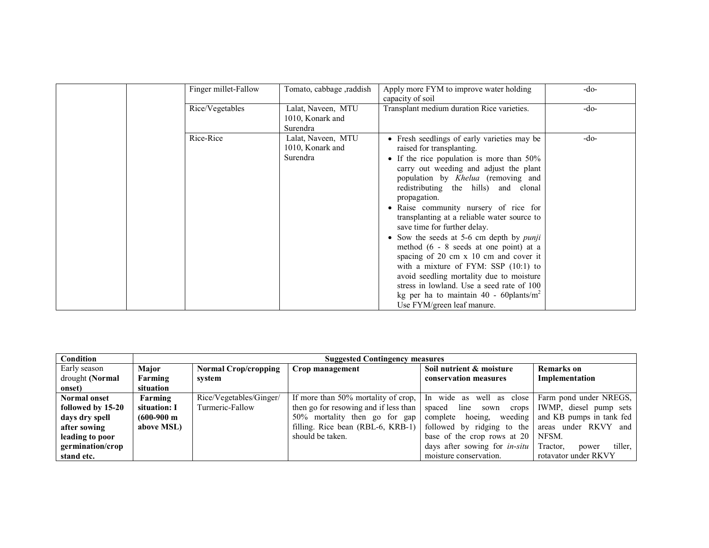| Finger millet-Fallow | Tomato, cabbage, raddish                           | Apply more FYM to improve water holding<br>capacity of soil                                                                                                                                                                                                                                                                                                                                                                                                                                                                                                                                                                                                                                                                                             | $-do-$ |
|----------------------|----------------------------------------------------|---------------------------------------------------------------------------------------------------------------------------------------------------------------------------------------------------------------------------------------------------------------------------------------------------------------------------------------------------------------------------------------------------------------------------------------------------------------------------------------------------------------------------------------------------------------------------------------------------------------------------------------------------------------------------------------------------------------------------------------------------------|--------|
| Rice/Vegetables      | Lalat, Naveen, MTU<br>1010, Konark and<br>Surendra | Transplant medium duration Rice varieties.                                                                                                                                                                                                                                                                                                                                                                                                                                                                                                                                                                                                                                                                                                              | $-do-$ |
| Rice-Rice            | Lalat, Naveen, MTU<br>1010, Konark and<br>Surendra | • Fresh seedlings of early varieties may be<br>raised for transplanting.<br>• If the rice population is more than $50\%$<br>carry out weeding and adjust the plant<br>population by Khelua (removing and<br>redistributing the hills) and clonal<br>propagation.<br>• Raise community nursery of rice for<br>transplanting at a reliable water source to<br>save time for further delay.<br>• Sow the seeds at 5-6 cm depth by <i>punji</i><br>method $(6 - 8 \text{ seeds at one point})$ at a<br>spacing of 20 cm x 10 cm and cover it<br>with a mixture of FYM: SSP $(10:1)$ to<br>avoid seedling mortality due to moisture<br>stress in lowland. Use a seed rate of 100<br>kg per ha to maintain 40 - 60 plants/ $m2$<br>Use FYM/green leaf manure. | $-do-$ |

| Condition           | <b>Suggested Contingency measures</b> |                             |                                                                                                     |                                                   |                        |
|---------------------|---------------------------------------|-----------------------------|-----------------------------------------------------------------------------------------------------|---------------------------------------------------|------------------------|
| Early season        | Major                                 | <b>Normal Crop/cropping</b> | Crop management                                                                                     | Soil nutrient & moisture                          | Remarks on             |
| drought (Normal     | Farming                               | system                      |                                                                                                     | conservation measures                             | Implementation         |
| onset)              | situation                             |                             |                                                                                                     |                                                   |                        |
| <b>Normal onset</b> | Farming                               | Rice/Vegetables/Ginger/     | If more than 50% mortality of crop, $\vert$ In wide as well as close $\vert$ Farm pond under NREGS, |                                                   |                        |
| followed by 15-20   | situation: I                          | Turmeric-Fallow             | then go for resowing and if less than $\vert$ spaced line sown crops $\vert$                        |                                                   | IWMP, diesel pump sets |
| days dry spell      | $(600-900 \text{ m})$                 |                             | 50% mortality then go for gap                                                                       | complete hoeing, weeding and KB pumps in tank fed |                        |
| after sowing        | above MSL)                            |                             | filling. Rice bean (RBL-6, KRB-1) $\vert$ followed by ridging to the areas under RKVY and           |                                                   |                        |
| leading to poor     |                                       |                             | should be taken.                                                                                    | base of the crop rows at $20$ NFSM.               |                        |
| germination/crop    |                                       |                             |                                                                                                     | days after sowing for <i>in-situ</i> Tractor,     | tiller,<br>power       |
| stand etc.          |                                       |                             |                                                                                                     | moisture conservation.                            | rotavator under RKVY   |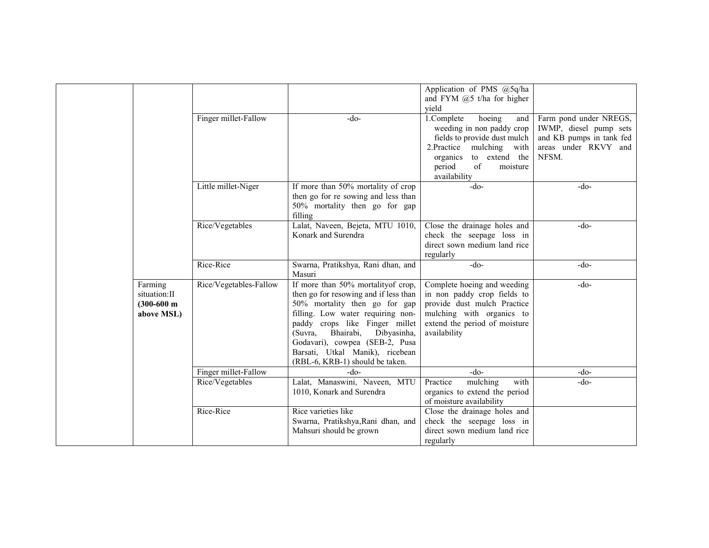|                                                         |                        |                                                                                                                                                                                                                                                                                                                                     | Application of PMS @5q/ha<br>and FYM $(2)$ 5 t/ha for higher<br>vield                                                                                                                               |                                                                                                               |
|---------------------------------------------------------|------------------------|-------------------------------------------------------------------------------------------------------------------------------------------------------------------------------------------------------------------------------------------------------------------------------------------------------------------------------------|-----------------------------------------------------------------------------------------------------------------------------------------------------------------------------------------------------|---------------------------------------------------------------------------------------------------------------|
|                                                         | Finger millet-Fallow   | -do-                                                                                                                                                                                                                                                                                                                                | 1.Complete<br>hoeing<br>and<br>weeding in non paddy crop<br>fields to provide dust mulch<br>2.Practice<br>mulching<br>with<br>to extend the<br>organics<br>of<br>period<br>moisture<br>availability | Farm pond under NREGS,<br>IWMP, diesel pump sets<br>and KB pumps in tank fed<br>areas under RKVY and<br>NFSM. |
|                                                         | Little millet-Niger    | If more than 50% mortality of crop<br>then go for re sowing and less than<br>50% mortality then go for gap<br>filling                                                                                                                                                                                                               | $-do-$                                                                                                                                                                                              | $-do-$                                                                                                        |
|                                                         | Rice/Vegetables        | Lalat, Naveen, Bejeta, MTU 1010,<br>Konark and Surendra                                                                                                                                                                                                                                                                             | Close the drainage holes and<br>check the seepage loss in<br>direct sown medium land rice<br>regularly                                                                                              | $-do-$                                                                                                        |
|                                                         | Rice-Rice              | Swarna, Pratikshya, Rani dhan, and<br>Masuri                                                                                                                                                                                                                                                                                        | $-do-$                                                                                                                                                                                              | $-do-$                                                                                                        |
| Farming<br>situation: II<br>$(300-600)$ m<br>above MSL) | Rice/Vegetables-Fallow | If more than 50% mortality of crop,<br>then go for resowing and if less than<br>50% mortality then go for gap<br>filling. Low water requiring non-<br>paddy crops like Finger millet<br>Bhairabi,<br>(Suvra,<br>Dibyasinha,<br>Godavari), cowpea (SEB-2, Pusa<br>Barsati, Utkal Manik), ricebean<br>(RBL-6, KRB-1) should be taken. | Complete hoeing and weeding<br>in non paddy crop fields to<br>provide dust mulch Practice<br>mulching with organics to<br>extend the period of moisture<br>availability                             | $-do-$                                                                                                        |
|                                                         | Finger millet-Fallow   | $-do-$                                                                                                                                                                                                                                                                                                                              | $-do-$                                                                                                                                                                                              | $-do-$                                                                                                        |
|                                                         | Rice/Vegetables        | Lalat, Manaswini, Naveen, MTU<br>1010, Konark and Surendra                                                                                                                                                                                                                                                                          | Practice<br>mulching<br>with<br>organics to extend the period<br>of moisture availability                                                                                                           | $-do-$                                                                                                        |
|                                                         | Rice-Rice              | Rice varieties like<br>Swarna, Pratikshya, Rani dhan, and<br>Mahsuri should be grown                                                                                                                                                                                                                                                | Close the drainage holes and<br>check the seepage loss in<br>direct sown medium land rice<br>regularly                                                                                              |                                                                                                               |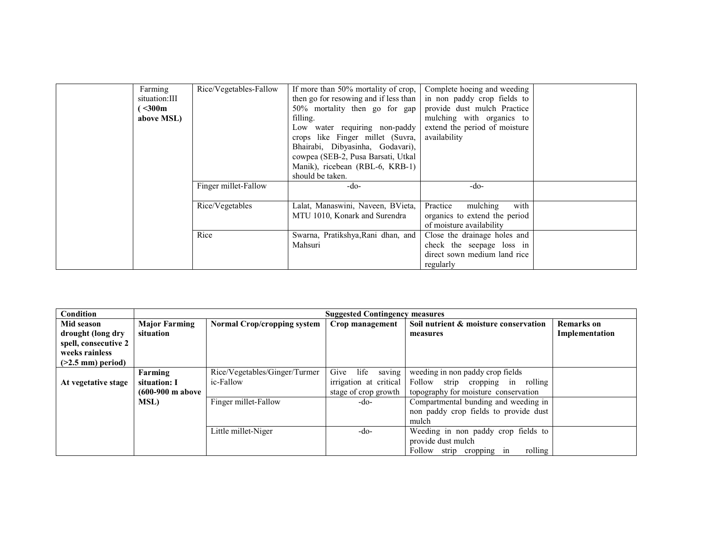| Farming       | Rice/Vegetables-Fallow | If more than 50% mortality of crop, $\vert$ | Complete hoeing and weeding   |  |
|---------------|------------------------|---------------------------------------------|-------------------------------|--|
| situation:III |                        | then go for resowing and if less than       | in non paddy crop fields to   |  |
| $300m$        |                        | $50\%$ mortality then go for gap            | provide dust mulch Practice   |  |
| above MSL)    |                        | filling.                                    | mulching with organics to     |  |
|               |                        | Low water requiring non-paddy               | extend the period of moisture |  |
|               |                        | crops like Finger millet (Suvra,            | availability                  |  |
|               |                        | Bhairabi, Dibyasinha, Godavari),            |                               |  |
|               |                        | cowpea (SEB-2, Pusa Barsati, Utkal          |                               |  |
|               |                        | Manik), ricebean (RBL-6, KRB-1)             |                               |  |
|               |                        | should be taken.                            |                               |  |
|               | Finger millet-Fallow   | -do-                                        | $-do-$                        |  |
|               |                        |                                             |                               |  |
|               | Rice/Vegetables        | Lalat, Manaswini, Naveen, BVieta,           | with<br>mulching<br>Practice  |  |
|               |                        | MTU 1010, Konark and Surendra               | organics to extend the period |  |
|               |                        |                                             | of moisture availability      |  |
|               | Rice                   | Swarna, Pratikshya, Rani dhan, and          | Close the drainage holes and  |  |
|               |                        | Mahsuri                                     | check the seepage loss in     |  |
|               |                        |                                             | direct sown medium land rice  |  |
|               |                        |                                             | regularly                     |  |

| Condition                  |                      | <b>Suggested Contingency measures</b> |                        |                                       |                   |  |
|----------------------------|----------------------|---------------------------------------|------------------------|---------------------------------------|-------------------|--|
| Mid season                 | <b>Major Farming</b> | <b>Normal Crop/cropping system</b>    | Crop management        | Soil nutrient & moisture conservation | <b>Remarks</b> on |  |
| drought (long dry          | situation            |                                       |                        | measures                              | Implementation    |  |
| spell, consecutive 2       |                      |                                       |                        |                                       |                   |  |
| weeks rainless             |                      |                                       |                        |                                       |                   |  |
| $($ >2.5 mm $)$ period $)$ |                      |                                       |                        |                                       |                   |  |
|                            | Farming              | Rice/Vegetables/Ginger/Turmer         | saving<br>Give<br>life | weeding in non paddy crop fields      |                   |  |
| At vegetative stage        | situation: I         | ic-Fallow                             | irrigation at critical | Follow strip cropping in rolling      |                   |  |
|                            | (600-900 m above     |                                       | stage of crop growth   | topography for moisture conservation  |                   |  |
|                            | <b>MSL)</b>          | Finger millet-Fallow                  | -do-                   | Compartmental bunding and weeding in  |                   |  |
|                            |                      |                                       |                        | non paddy crop fields to provide dust |                   |  |
|                            |                      |                                       |                        | mulch                                 |                   |  |
|                            |                      | Little millet-Niger                   | -do-                   | Weeding in non paddy crop fields to   |                   |  |
|                            |                      |                                       |                        | provide dust mulch                    |                   |  |
|                            |                      |                                       |                        | Follow strip cropping in<br>rolling   |                   |  |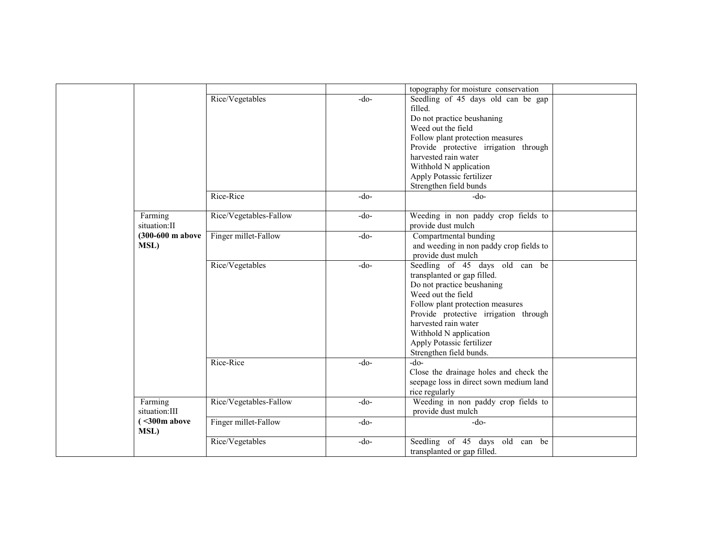|                    |                        |        | topography for moisture conservation    |  |
|--------------------|------------------------|--------|-----------------------------------------|--|
|                    | Rice/Vegetables        | $-do-$ | Seedling of 45 days old can be gap      |  |
|                    |                        |        | filled.                                 |  |
|                    |                        |        | Do not practice beushaning              |  |
|                    |                        |        | Weed out the field                      |  |
|                    |                        |        | Follow plant protection measures        |  |
|                    |                        |        | Provide protective irrigation through   |  |
|                    |                        |        | harvested rain water                    |  |
|                    |                        |        | Withhold N application                  |  |
|                    |                        |        | Apply Potassic fertilizer               |  |
|                    |                        |        | Strengthen field bunds                  |  |
|                    | Rice-Rice              | $-do-$ | -do-                                    |  |
|                    |                        |        |                                         |  |
| Farming            | Rice/Vegetables-Fallow | $-do-$ | Weeding in non paddy crop fields to     |  |
| situation:II       |                        |        | provide dust mulch                      |  |
| (300-600 m above   | Finger millet-Fallow   | $-do-$ | Compartmental bunding                   |  |
| <b>MSL)</b>        |                        |        | and weeding in non paddy crop fields to |  |
|                    |                        |        | provide dust mulch                      |  |
|                    | Rice/Vegetables        | $-do-$ | Seedling of 45 days old can be          |  |
|                    |                        |        | transplanted or gap filled.             |  |
|                    |                        |        | Do not practice beushaning              |  |
|                    |                        |        | Weed out the field                      |  |
|                    |                        |        | Follow plant protection measures        |  |
|                    |                        |        | Provide protective irrigation through   |  |
|                    |                        |        | harvested rain water                    |  |
|                    |                        |        | Withhold N application                  |  |
|                    |                        |        | Apply Potassic fertilizer               |  |
|                    |                        |        | Strengthen field bunds.                 |  |
|                    | Rice-Rice              | $-do-$ | $-do-$                                  |  |
|                    |                        |        |                                         |  |
|                    |                        |        | Close the drainage holes and check the  |  |
|                    |                        |        | seepage loss in direct sown medium land |  |
|                    |                        |        | rice regularly                          |  |
| Farming            | Rice/Vegetables-Fallow | $-do-$ | Weeding in non paddy crop fields to     |  |
| situation:III      |                        |        | provide dust mulch                      |  |
| $\sim 300$ m above | Finger millet-Fallow   | $-do-$ | $-do-$                                  |  |
| <b>MSL)</b>        |                        |        |                                         |  |
|                    | Rice/Vegetables        | $-do-$ | Seedling of 45 days old can be          |  |
|                    |                        |        | transplanted or gap filled.             |  |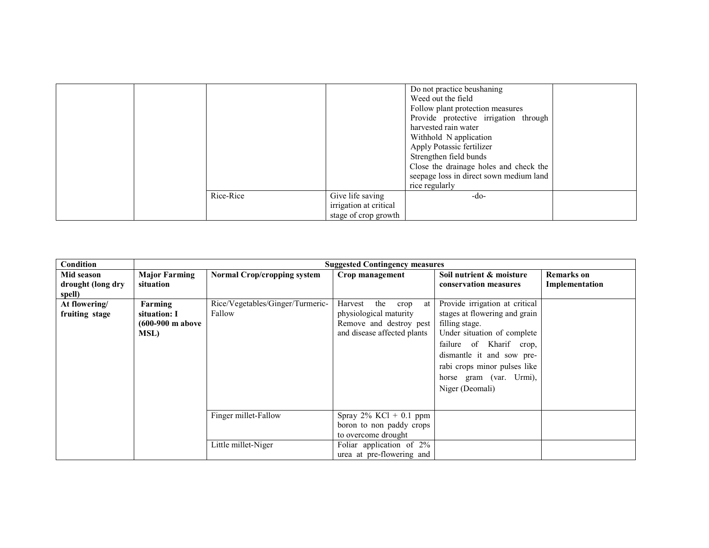|           |                                            | Do not practice beushaning<br>Weed out the field<br>Follow plant protection measures<br>Provide protective irrigation through<br>harvested rain water<br>Withhold N application<br>Apply Potassic fertilizer<br>Strengthen field bunds<br>Close the drainage holes and check the<br>seepage loss in direct sown medium land<br>rice regularly |  |
|-----------|--------------------------------------------|-----------------------------------------------------------------------------------------------------------------------------------------------------------------------------------------------------------------------------------------------------------------------------------------------------------------------------------------------|--|
| Rice-Rice | Give life saving<br>irrigation at critical | -do-                                                                                                                                                                                                                                                                                                                                          |  |
|           | stage of crop growth                       |                                                                                                                                                                                                                                                                                                                                               |  |

| <b>Condition</b>                          |                                                     |                                            | <b>Suggested Contingency measures</b>                                                                            |                                                                                                                                                                                                                                                        |                              |
|-------------------------------------------|-----------------------------------------------------|--------------------------------------------|------------------------------------------------------------------------------------------------------------------|--------------------------------------------------------------------------------------------------------------------------------------------------------------------------------------------------------------------------------------------------------|------------------------------|
| Mid season<br>drought (long dry<br>spell) | <b>Major Farming</b><br>situation                   | <b>Normal Crop/cropping system</b>         | Crop management                                                                                                  | Soil nutrient & moisture<br>conservation measures                                                                                                                                                                                                      | Remarks on<br>Implementation |
| At flowering/<br>fruiting stage           | Farming<br>situation: I<br>(600-900 m above<br>MSL) | Rice/Vegetables/Ginger/Turmeric-<br>Fallow | the<br>Harvest<br>crop<br>at<br>physiological maturity<br>Remove and destroy pest<br>and disease affected plants | Provide irrigation at critical<br>stages at flowering and grain<br>filling stage.<br>Under situation of complete<br>failure of Kharif crop,<br>dismantle it and sow pre-<br>rabi crops minor pulses like<br>horse gram (var. Urmi),<br>Niger (Deomali) |                              |
|                                           |                                                     | Finger millet-Fallow                       | Spray $2\%$ KCl + 0.1 ppm<br>boron to non paddy crops<br>to overcome drought                                     |                                                                                                                                                                                                                                                        |                              |
|                                           |                                                     | Little millet-Niger                        | Foliar application of 2%<br>urea at pre-flowering and                                                            |                                                                                                                                                                                                                                                        |                              |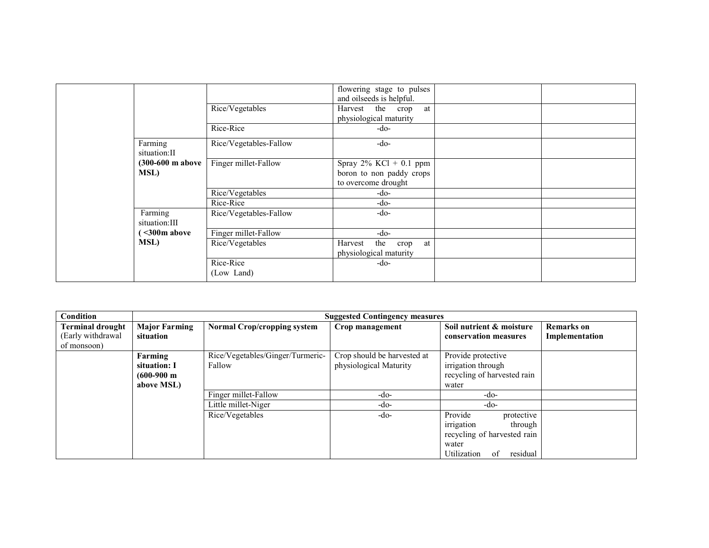|                                           | Rice/Vegetables         | flowering stage to pulses<br>and oilseeds is helpful.<br>Harvest the crop<br>at<br>physiological maturity |  |
|-------------------------------------------|-------------------------|-----------------------------------------------------------------------------------------------------------|--|
|                                           | Rice-Rice               | -do-                                                                                                      |  |
| Farming<br>situation: II                  | Rice/Vegetables-Fallow  | $-do-$                                                                                                    |  |
| $(300-600 \text{ m}$ above<br><b>MSL)</b> | Finger millet-Fallow    | $\overline{\text{Spray}}$ 2% KCl + 0.1 ppm<br>boron to non paddy crops<br>to overcome drought             |  |
|                                           | Rice/Vegetables         | -do-                                                                                                      |  |
|                                           | Rice-Rice               | -do-                                                                                                      |  |
| Farming<br>situation: III                 | Rice/Vegetables-Fallow  | $-do-$                                                                                                    |  |
| $\leq$ 300m above                         | Finger millet-Fallow    | -do-                                                                                                      |  |
| MSL)                                      | Rice/Vegetables         | the crop<br>Harvest<br>at<br>physiological maturity                                                       |  |
|                                           | Rice-Rice<br>(Low Land) | -do-                                                                                                      |  |

| <b>Condition</b>                                            |                                                                | <b>Suggested Contingency measures</b>      |                                                       |                                                                                                                         |                                     |  |  |  |
|-------------------------------------------------------------|----------------------------------------------------------------|--------------------------------------------|-------------------------------------------------------|-------------------------------------------------------------------------------------------------------------------------|-------------------------------------|--|--|--|
| <b>Terminal drought</b><br>(Early withdrawal<br>of monsoon) | <b>Major Farming</b><br>situation                              | <b>Normal Crop/cropping system</b>         | Crop management                                       | Soil nutrient & moisture<br>conservation measures                                                                       | <b>Remarks</b> on<br>Implementation |  |  |  |
|                                                             | Farming<br>situation: I<br>$(600-900 \text{ m})$<br>above MSL) | Rice/Vegetables/Ginger/Turmeric-<br>Fallow | Crop should be harvested at<br>physiological Maturity | Provide protective<br>irrigation through<br>recycling of harvested rain<br>water                                        |                                     |  |  |  |
|                                                             |                                                                | Finger millet-Fallow                       | -do-                                                  | -do-                                                                                                                    |                                     |  |  |  |
|                                                             |                                                                | Little millet-Niger                        | -do-                                                  | -do-                                                                                                                    |                                     |  |  |  |
|                                                             |                                                                | Rice/Vegetables                            | -do-                                                  | protective<br>Provide<br>irrigation<br>through<br>recycling of harvested rain<br>water<br>Utilization<br>residual<br>of |                                     |  |  |  |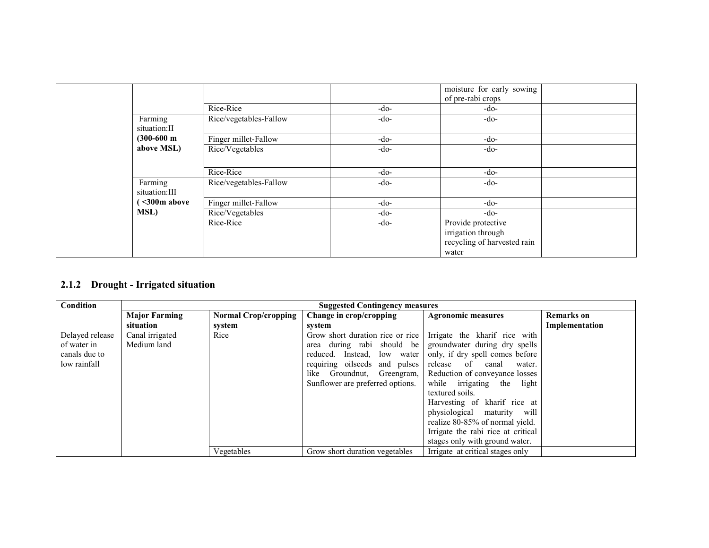|                          |                        |        | moisture for early sowing<br>of pre-rabi crops                                   |  |
|--------------------------|------------------------|--------|----------------------------------------------------------------------------------|--|
|                          | Rice-Rice              | -do-   | -do-                                                                             |  |
| Farming<br>situation:II  | Rice/vegetables-Fallow | $-do-$ | -do-                                                                             |  |
| $(300-600)$ m            | Finger millet-Fallow   | $-do-$ | $-do-$                                                                           |  |
| above MSL)               | Rice/Vegetables        | $-do-$ | $-do-$                                                                           |  |
|                          |                        |        |                                                                                  |  |
|                          | Rice-Rice              | $-do-$ | -do-                                                                             |  |
| Farming<br>situation:III | Rice/vegetables-Fallow | $-do-$ | $-do-$                                                                           |  |
| $\leq$ 300m above        | Finger millet-Fallow   | $-do-$ | -do-                                                                             |  |
| <b>MSL)</b>              | Rice/Vegetables        | $-do-$ | -do-                                                                             |  |
|                          | Rice-Rice              | $-do-$ | Provide protective<br>irrigation through<br>recycling of harvested rain<br>water |  |

### 2.1.2 Drought - Irrigated situation

| Condition       | <b>Suggested Contingency measures</b> |                             |                                  |                                    |                   |
|-----------------|---------------------------------------|-----------------------------|----------------------------------|------------------------------------|-------------------|
|                 | <b>Major Farming</b>                  | <b>Normal Crop/cropping</b> | Change in crop/cropping          | <b>Agronomic measures</b>          | <b>Remarks</b> on |
|                 | situation                             | system                      | svstem                           |                                    | Implementation    |
| Delayed release | Canal irrigated                       | Rice                        | Grow short duration rice or rice | Irrigate the kharif rice with      |                   |
| of water in     | Medium land                           |                             | area during rabi should be       | groundwater during dry spells      |                   |
| canals due to   |                                       |                             | reduced. Instead, low water      | only, if dry spell comes before    |                   |
| low rainfall    |                                       |                             | requiring oilseeds and pulses    | release of canal<br>water.         |                   |
|                 |                                       |                             | Groundnut, Greengram,<br>like    | Reduction of conveyance losses     |                   |
|                 |                                       |                             | Sunflower are preferred options. | while irrigating the light         |                   |
|                 |                                       |                             |                                  | textured soils.                    |                   |
|                 |                                       |                             |                                  | Harvesting of kharif rice at       |                   |
|                 |                                       |                             |                                  | physiological maturity will        |                   |
|                 |                                       |                             |                                  | realize 80-85% of normal yield.    |                   |
|                 |                                       |                             |                                  | Irrigate the rabi rice at critical |                   |
|                 |                                       |                             |                                  | stages only with ground water.     |                   |
|                 |                                       | Vegetables                  | Grow short duration vegetables   | Irrigate at critical stages only   |                   |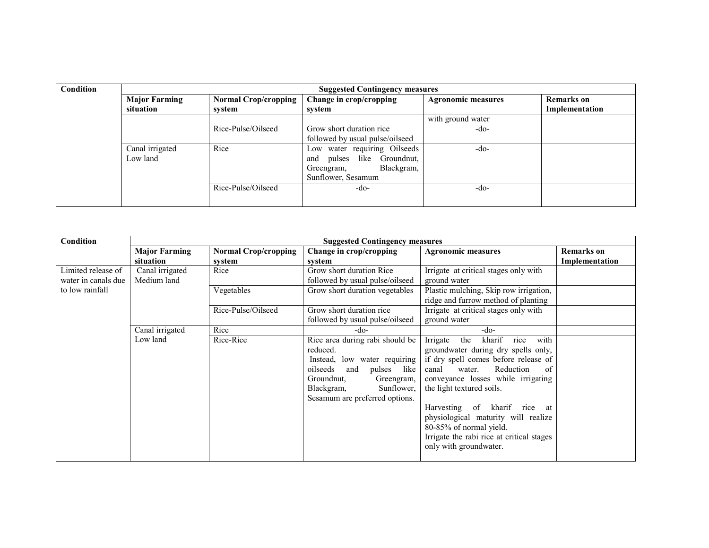| <b>Condition</b> | <b>Suggested Contingency measures</b> |                             |                                  |                           |                   |  |  |
|------------------|---------------------------------------|-----------------------------|----------------------------------|---------------------------|-------------------|--|--|
|                  | <b>Major Farming</b>                  | <b>Normal Crop/cropping</b> | Change in crop/cropping          | <b>Agronomic measures</b> | <b>Remarks</b> on |  |  |
|                  | situation                             | system                      | system                           |                           | Implementation    |  |  |
|                  |                                       |                             |                                  | with ground water         |                   |  |  |
|                  |                                       | Rice-Pulse/Oilseed          | Grow short duration rice         | -do-                      |                   |  |  |
|                  |                                       |                             | followed by usual pulse/oilseed  |                           |                   |  |  |
|                  | Canal irrigated                       | Rice                        | Low water requiring Oilseeds     | $-do-$                    |                   |  |  |
|                  | Low land                              |                             | like Groundnut,<br>pulses<br>and |                           |                   |  |  |
|                  |                                       |                             | Blackgram,<br>Greengram,         |                           |                   |  |  |
|                  |                                       |                             | Sunflower, Sesamum               |                           |                   |  |  |
|                  |                                       | Rice-Pulse/Oilseed          | -do-                             | -do-                      |                   |  |  |
|                  |                                       |                             |                                  |                           |                   |  |  |

| Condition           |                      | <b>Suggested Contingency measures</b> |                                                                                                                                                                                                               |                                                                                                                                                                                                                                                                                                                                                                                                               |                   |
|---------------------|----------------------|---------------------------------------|---------------------------------------------------------------------------------------------------------------------------------------------------------------------------------------------------------------|---------------------------------------------------------------------------------------------------------------------------------------------------------------------------------------------------------------------------------------------------------------------------------------------------------------------------------------------------------------------------------------------------------------|-------------------|
|                     | <b>Major Farming</b> | <b>Normal Crop/cropping</b>           | Change in crop/cropping                                                                                                                                                                                       | <b>Agronomic measures</b>                                                                                                                                                                                                                                                                                                                                                                                     | <b>Remarks</b> on |
|                     | situation            | system                                | system                                                                                                                                                                                                        |                                                                                                                                                                                                                                                                                                                                                                                                               | Implementation    |
| Limited release of  | Canal irrigated      | Rice                                  | Grow short duration Rice                                                                                                                                                                                      | Irrigate at critical stages only with                                                                                                                                                                                                                                                                                                                                                                         |                   |
| water in canals due | Medium land          |                                       | followed by usual pulse/oilseed                                                                                                                                                                               | ground water                                                                                                                                                                                                                                                                                                                                                                                                  |                   |
| to low rainfall     |                      | Vegetables                            | Grow short duration vegetables                                                                                                                                                                                | Plastic mulching, Skip row irrigation,                                                                                                                                                                                                                                                                                                                                                                        |                   |
|                     |                      |                                       |                                                                                                                                                                                                               | ridge and furrow method of planting                                                                                                                                                                                                                                                                                                                                                                           |                   |
|                     |                      | Rice-Pulse/Oilseed                    | Grow short duration rice                                                                                                                                                                                      | Irrigate at critical stages only with                                                                                                                                                                                                                                                                                                                                                                         |                   |
|                     |                      |                                       | followed by usual pulse/oilseed                                                                                                                                                                               | ground water                                                                                                                                                                                                                                                                                                                                                                                                  |                   |
|                     | Canal irrigated      | Rice                                  | -do-                                                                                                                                                                                                          | -do-                                                                                                                                                                                                                                                                                                                                                                                                          |                   |
|                     | Low land             | Rice-Rice                             | Rice area during rabi should be<br>reduced.<br>low water requiring<br>Instead,<br>oilseeds<br>pulses<br>and<br>like<br>Groundnut.<br>Greengram,<br>Blackgram,<br>Sunflower,<br>Sesamum are preferred options. | rice<br>Irrigate<br>kharif<br>with<br>the<br>groundwater during dry spells only,<br>if dry spell comes before release of<br>Reduction<br>of<br>canal<br>water.<br>conveyance losses while irrigating<br>the light textured soils.<br>Harvesting of kharif<br>rice at<br>physiological maturity will realize<br>80-85% of normal yield.<br>Irrigate the rabi rice at critical stages<br>only with groundwater. |                   |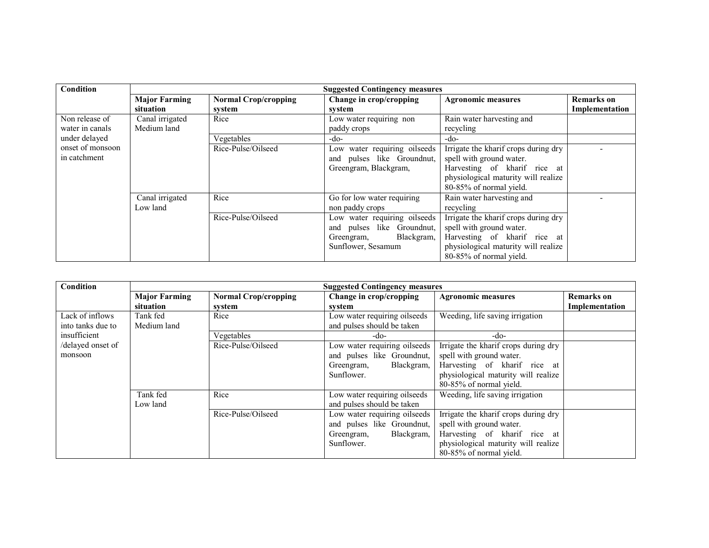| <b>Condition</b> | <b>Suggested Contingency measures</b> |                             |                              |                                      |                |
|------------------|---------------------------------------|-----------------------------|------------------------------|--------------------------------------|----------------|
|                  | <b>Major Farming</b>                  | <b>Normal Crop/cropping</b> | Change in crop/cropping      | <b>Agronomic measures</b>            | Remarks on     |
|                  | situation                             | system                      | system                       |                                      | Implementation |
| Non release of   | Canal irrigated                       | Rice                        | Low water requiring non      | Rain water harvesting and            |                |
| water in canals  | Medium land                           |                             | paddy crops                  | recycling                            |                |
| under delayed    |                                       | Vegetables                  | -do-                         | -do-                                 |                |
| onset of monsoon |                                       | Rice-Pulse/Oilseed          | Low water requiring oilseeds | Irrigate the kharif crops during dry |                |
| in catchment     |                                       |                             | and pulses like Groundnut,   | spell with ground water.             |                |
|                  |                                       |                             | Greengram, Blackgram,        | Harvesting of kharif rice at         |                |
|                  |                                       |                             |                              | physiological maturity will realize  |                |
|                  |                                       |                             |                              | 80-85% of normal yield.              |                |
|                  | Canal irrigated                       | Rice                        | Go for low water requiring   | Rain water harvesting and            |                |
|                  | Low land                              |                             | non paddy crops              | recycling                            |                |
|                  |                                       | Rice-Pulse/Oilseed          | Low water requiring oilseeds | Irrigate the kharif crops during dry |                |
|                  |                                       |                             | and pulses like Groundnut,   | spell with ground water.             |                |
|                  |                                       |                             | Blackgram,<br>Greengram,     | Harvesting of kharif rice at         |                |
|                  |                                       |                             | Sunflower, Sesamum           | physiological maturity will realize  |                |
|                  |                                       |                             |                              | 80-85% of normal yield.              |                |

| Condition         |                      |                             | <b>Suggested Contingency measures</b> |                                      |                |
|-------------------|----------------------|-----------------------------|---------------------------------------|--------------------------------------|----------------|
|                   | <b>Major Farming</b> | <b>Normal Crop/cropping</b> | Change in crop/cropping               | <b>Agronomic measures</b>            | Remarks on     |
|                   | situation            | system                      | system                                |                                      | Implementation |
| Lack of inflows   | Tank fed             | Rice                        | Low water requiring oilseeds          | Weeding, life saving irrigation      |                |
| into tanks due to | Medium land          |                             | and pulses should be taken            |                                      |                |
| insufficient      |                      | Vegetables                  | -do-                                  | -do-                                 |                |
| /delayed onset of |                      | Rice-Pulse/Oilseed          | Low water requiring oilseeds          | Irrigate the kharif crops during dry |                |
| monsoon           |                      |                             | and pulses like Groundnut,            | spell with ground water.             |                |
|                   |                      |                             | Blackgram,<br>Greengram,              | Harvesting of kharif rice at         |                |
|                   |                      |                             | Sunflower.                            | physiological maturity will realize  |                |
|                   |                      |                             |                                       | 80-85% of normal yield.              |                |
|                   | Tank fed             | Rice                        | Low water requiring oilseeds          | Weeding, life saving irrigation      |                |
|                   | Low land             |                             | and pulses should be taken            |                                      |                |
|                   |                      | Rice-Pulse/Oilseed          | Low water requiring oilseeds          | Irrigate the kharif crops during dry |                |
|                   |                      |                             | and pulses like Groundnut,            | spell with ground water.             |                |
|                   |                      |                             | Blackgram,<br>Greengram,              | Harvesting of kharif rice at         |                |
|                   |                      |                             | Sunflower.                            | physiological maturity will realize  |                |
|                   |                      |                             |                                       | 80-85% of normal yield.              |                |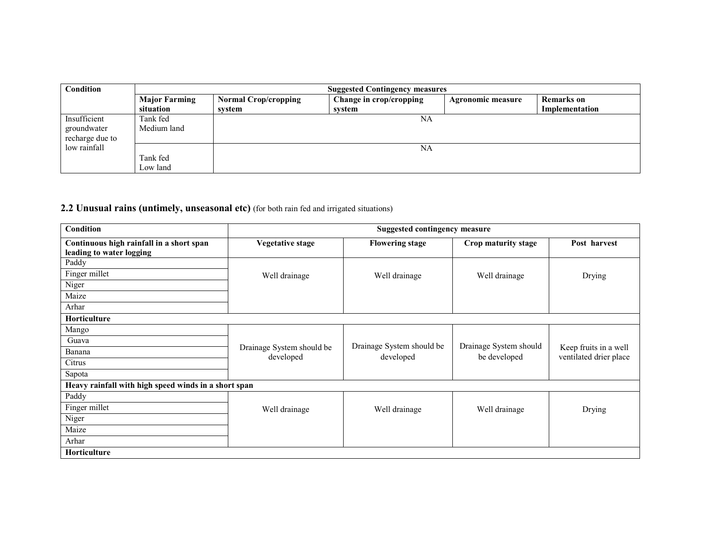| <b>Condition</b>                               |                                   | <b>Suggested Contingency measures</b> |                                   |                   |                              |  |
|------------------------------------------------|-----------------------------------|---------------------------------------|-----------------------------------|-------------------|------------------------------|--|
|                                                | <b>Major Farming</b><br>situation | <b>Normal Crop/cropping</b><br>system | Change in crop/cropping<br>system | Agronomic measure | Remarks on<br>Implementation |  |
| Insufficient<br>groundwater<br>recharge due to | Tank fed<br>Medium land           |                                       | NA                                |                   |                              |  |
| low rainfall                                   | Tank fed<br>Low land              |                                       | NA                                |                   |                              |  |

### 2.2 Unusual rains (untimely, unseasonal etc) (for both rain fed and irrigated situations)

| Condition                                                            | <b>Suggested contingency measure</b>   |                           |                        |                                                 |
|----------------------------------------------------------------------|----------------------------------------|---------------------------|------------------------|-------------------------------------------------|
| Continuous high rainfall in a short span<br>leading to water logging | <b>Vegetative stage</b>                | <b>Flowering stage</b>    | Crop maturity stage    | Post harvest                                    |
| Paddy                                                                |                                        |                           |                        |                                                 |
| Finger millet                                                        | Well drainage                          | Well drainage             | Well drainage          | Drying                                          |
| Niger                                                                |                                        |                           |                        |                                                 |
| Maize                                                                |                                        |                           |                        |                                                 |
| Arhar                                                                |                                        |                           |                        |                                                 |
| Horticulture                                                         |                                        |                           |                        |                                                 |
| Mango                                                                |                                        |                           |                        |                                                 |
| Guava                                                                |                                        | Drainage System should be | Drainage System should |                                                 |
| Banana                                                               | Drainage System should be<br>developed | developed                 | be developed           | Keep fruits in a well<br>ventilated drier place |
| Citrus                                                               |                                        |                           |                        |                                                 |
| Sapota                                                               |                                        |                           |                        |                                                 |
| Heavy rainfall with high speed winds in a short span                 |                                        |                           |                        |                                                 |
| Paddy                                                                |                                        |                           |                        |                                                 |
| Finger millet                                                        | Well drainage                          | Well drainage             | Well drainage          | Drying                                          |
| Niger                                                                |                                        |                           |                        |                                                 |
| Maize                                                                |                                        |                           |                        |                                                 |
| Arhar                                                                |                                        |                           |                        |                                                 |
| Horticulture                                                         |                                        |                           |                        |                                                 |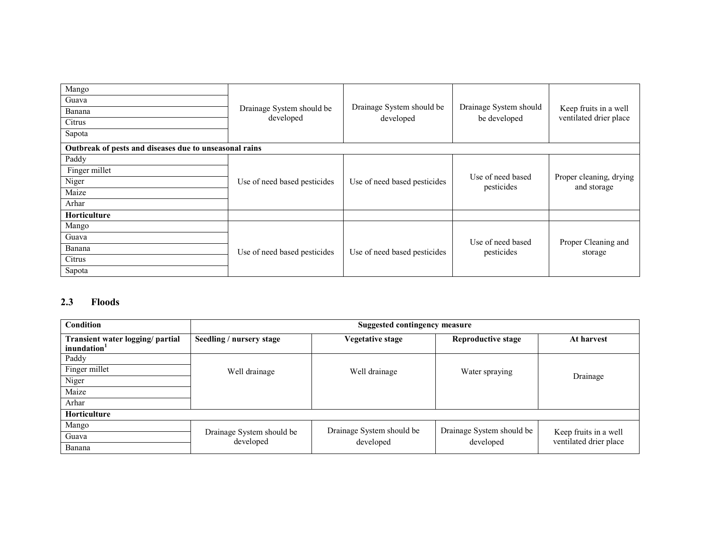| Mango<br>Guava<br>Banana<br>Citrus<br>Sapota           | Drainage System should be<br>developed | Drainage System should be<br>developed | Drainage System should<br>be developed | Keep fruits in a well<br>ventilated drier place |  |
|--------------------------------------------------------|----------------------------------------|----------------------------------------|----------------------------------------|-------------------------------------------------|--|
| Outbreak of pests and diseases due to unseasonal rains |                                        |                                        |                                        |                                                 |  |
| Paddy                                                  |                                        |                                        |                                        |                                                 |  |
| Finger millet                                          |                                        |                                        |                                        |                                                 |  |
| Niger                                                  | Use of need based pesticides           | Use of need based pesticides           | Use of need based<br>pesticides        | Proper cleaning, drying<br>and storage          |  |
| Maize                                                  |                                        |                                        |                                        |                                                 |  |
| Arhar                                                  |                                        |                                        |                                        |                                                 |  |
| <b>Horticulture</b>                                    |                                        |                                        |                                        |                                                 |  |
| Mango                                                  |                                        |                                        |                                        |                                                 |  |
| Guava                                                  |                                        |                                        | Use of need based                      | Proper Cleaning and                             |  |
| Banana                                                 | Use of need based pesticides           | Use of need based pesticides           | pesticides                             | storage                                         |  |
| Citrus                                                 |                                        |                                        |                                        |                                                 |  |
| Sapota                                                 |                                        |                                        |                                        |                                                 |  |

### 2.3 Floods

| <b>Condition</b>                                            | Suggested contingency measure          |                           |                           |                                                 |  |
|-------------------------------------------------------------|----------------------------------------|---------------------------|---------------------------|-------------------------------------------------|--|
| Transient water logging/ partial<br>inundation <sup>1</sup> | Seedling / nursery stage               | Vegetative stage          | <b>Reproductive stage</b> | At harvest                                      |  |
| Paddy                                                       |                                        |                           |                           |                                                 |  |
| Finger millet                                               | Well drainage                          | Well drainage             | Water spraying            |                                                 |  |
| Niger                                                       |                                        |                           |                           | Drainage                                        |  |
| Maize                                                       |                                        |                           |                           |                                                 |  |
| Arhar                                                       |                                        |                           |                           |                                                 |  |
| Horticulture                                                |                                        |                           |                           |                                                 |  |
| Mango                                                       |                                        | Drainage System should be | Drainage System should be |                                                 |  |
| Guava                                                       | Drainage System should be<br>developed | developed                 | developed                 | Keep fruits in a well<br>ventilated drier place |  |
| Banana                                                      |                                        |                           |                           |                                                 |  |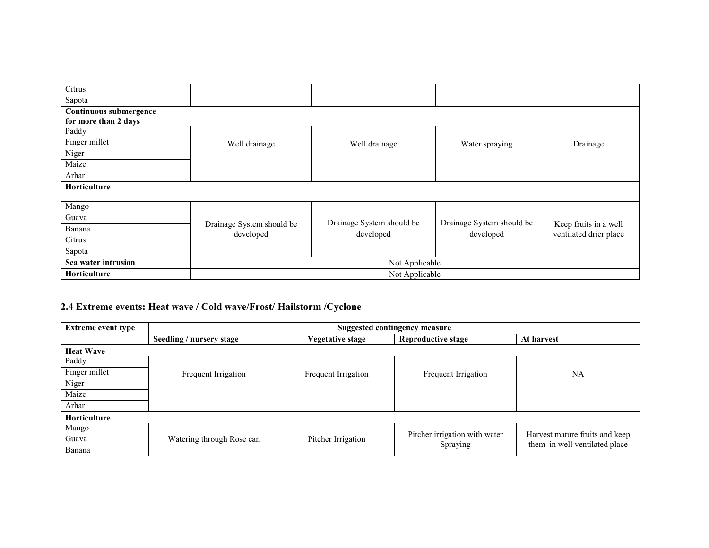| Citrus                 |                                        |                           |                           |                                                 |  |  |
|------------------------|----------------------------------------|---------------------------|---------------------------|-------------------------------------------------|--|--|
| Sapota                 |                                        |                           |                           |                                                 |  |  |
| Continuous submergence |                                        |                           |                           |                                                 |  |  |
| for more than 2 days   |                                        |                           |                           |                                                 |  |  |
| Paddy                  |                                        |                           |                           |                                                 |  |  |
| Finger millet          | Well drainage                          | Well drainage             | Water spraying            | Drainage                                        |  |  |
| Niger                  |                                        |                           |                           |                                                 |  |  |
| Maize                  |                                        |                           |                           |                                                 |  |  |
| Arhar                  |                                        |                           |                           |                                                 |  |  |
| Horticulture           |                                        |                           |                           |                                                 |  |  |
|                        |                                        |                           |                           |                                                 |  |  |
| Mango                  |                                        |                           |                           |                                                 |  |  |
| Guava                  |                                        | Drainage System should be | Drainage System should be |                                                 |  |  |
| Banana                 | Drainage System should be<br>developed | developed                 | developed                 | Keep fruits in a well<br>ventilated drier place |  |  |
| Citrus                 |                                        |                           |                           |                                                 |  |  |
| Sapota                 |                                        |                           |                           |                                                 |  |  |
| Sea water intrusion    | Not Applicable                         |                           |                           |                                                 |  |  |
| Horticulture           | Not Applicable                         |                           |                           |                                                 |  |  |

### 2.4 Extreme events: Heat wave / Cold wave/Frost/ Hailstorm /Cyclone

| <b>Extreme event type</b> | Suggested contingency measure |                     |                               |                                                                 |  |  |
|---------------------------|-------------------------------|---------------------|-------------------------------|-----------------------------------------------------------------|--|--|
|                           | Seedling / nursery stage      | Vegetative stage    | <b>Reproductive stage</b>     | At harvest                                                      |  |  |
| <b>Heat Wave</b>          |                               |                     |                               |                                                                 |  |  |
| Paddy                     |                               |                     |                               |                                                                 |  |  |
| Finger millet             | Frequent Irrigation           | Frequent Irrigation | Frequent Irrigation           | <b>NA</b>                                                       |  |  |
| Niger                     |                               |                     |                               |                                                                 |  |  |
| Maize                     |                               |                     |                               |                                                                 |  |  |
| Arhar                     |                               |                     |                               |                                                                 |  |  |
| <b>Horticulture</b>       |                               |                     |                               |                                                                 |  |  |
| Mango                     |                               |                     |                               |                                                                 |  |  |
| Guava                     | Watering through Rose can     | Pitcher Irrigation  | Pitcher irrigation with water | Harvest mature fruits and keep<br>them in well ventilated place |  |  |
| Banana                    |                               |                     | Spraying                      |                                                                 |  |  |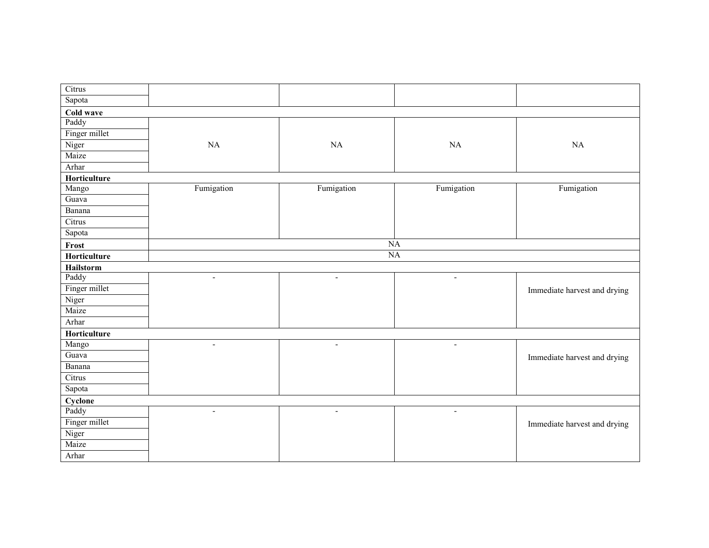| Citrus        |                          |                |                          |                              |
|---------------|--------------------------|----------------|--------------------------|------------------------------|
| Sapota        |                          |                |                          |                              |
| Cold wave     |                          |                |                          |                              |
| Paddy         |                          |                |                          |                              |
| Finger millet |                          |                |                          |                              |
| Niger         | NA                       | $\rm NA$       | NA                       | NA                           |
| Maize         |                          |                |                          |                              |
| Arhar         |                          |                |                          |                              |
| Horticulture  |                          |                |                          |                              |
| Mango         | Fumigation               | Fumigation     | Fumigation               | Fumigation                   |
| Guava         |                          |                |                          |                              |
| Banana        |                          |                |                          |                              |
| Citrus        |                          |                |                          |                              |
| Sapota        |                          |                |                          |                              |
| Frost         |                          | NA             |                          |                              |
| Horticulture  |                          |                | <b>NA</b>                |                              |
| Hailstorm     |                          |                |                          |                              |
| Paddy         | $\blacksquare$           | $\blacksquare$ | $\blacksquare$           |                              |
| Finger millet |                          |                |                          | Immediate harvest and drying |
| Niger         |                          |                |                          |                              |
| Maize         |                          |                |                          |                              |
| Arhar         |                          |                |                          |                              |
| Horticulture  |                          |                |                          |                              |
| Mango         | $\blacksquare$           | $\blacksquare$ | $\blacksquare$           |                              |
| Guava         |                          |                |                          | Immediate harvest and drying |
| Banana        |                          |                |                          |                              |
| Citrus        |                          |                |                          |                              |
| Sapota        |                          |                |                          |                              |
| Cyclone       |                          |                |                          |                              |
| Paddy         | $\overline{\phantom{a}}$ | $\blacksquare$ | $\overline{\phantom{a}}$ |                              |
| Finger millet |                          |                |                          | Immediate harvest and drying |
| Niger         |                          |                |                          |                              |
| Maize         |                          |                |                          |                              |
| Arhar         |                          |                |                          |                              |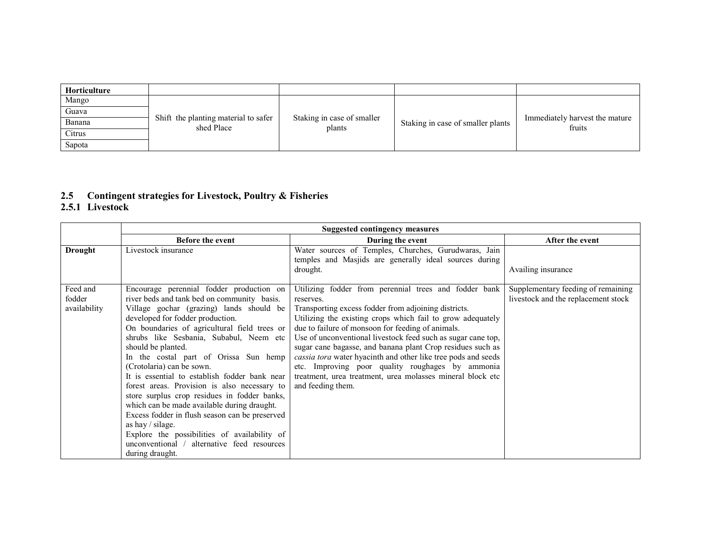| Horticulture |                                                    |                                      |                                   |                                          |
|--------------|----------------------------------------------------|--------------------------------------|-----------------------------------|------------------------------------------|
| Mango        |                                                    |                                      |                                   |                                          |
| Guava        |                                                    |                                      |                                   |                                          |
| Banana       | Shift the planting material to safer<br>shed Place | Staking in case of smaller<br>plants | Staking in case of smaller plants | Immediately harvest the mature<br>fruits |
| Citrus       |                                                    |                                      |                                   |                                          |
| Sapota       |                                                    |                                      |                                   |                                          |

## 2.5 Contingent strategies for Livestock, Poultry & Fisheries 2.5.1 Livestock

|                | <b>Suggested contingency measures</b>          |                                                                                                                            |                                     |  |  |  |
|----------------|------------------------------------------------|----------------------------------------------------------------------------------------------------------------------------|-------------------------------------|--|--|--|
|                | <b>Before the event</b>                        | During the event                                                                                                           | After the event                     |  |  |  |
| <b>Drought</b> | Livestock insurance                            | Water sources of Temples, Churches, Gurudwaras, Jain<br>temples and Masjids are generally ideal sources during<br>drought. | Availing insurance                  |  |  |  |
| Feed and       | Encourage perennial fodder production on       | Utilizing fodder from perennial trees and fodder bank                                                                      | Supplementary feeding of remaining  |  |  |  |
| fodder         | river beds and tank bed on community basis.    | reserves.                                                                                                                  | livestock and the replacement stock |  |  |  |
| availability   | Village gochar (grazing) lands should be       | Transporting excess fodder from adjoining districts.                                                                       |                                     |  |  |  |
|                | developed for fodder production.               | Utilizing the existing crops which fail to grow adequately                                                                 |                                     |  |  |  |
|                | On boundaries of agricultural field trees or   | due to failure of monsoon for feeding of animals.                                                                          |                                     |  |  |  |
|                | shrubs like Sesbania, Subabul, Neem etc        | Use of unconventional livestock feed such as sugar cane top,                                                               |                                     |  |  |  |
|                | should be planted.                             | sugar cane bagasse, and banana plant Crop residues such as                                                                 |                                     |  |  |  |
|                | In the costal part of Orissa Sun hemp          | <i>cassia tora</i> water hyacinth and other like tree pods and seeds                                                       |                                     |  |  |  |
|                | (Crotolaria) can be sown.                      | etc. Improving poor quality roughages by ammonia                                                                           |                                     |  |  |  |
|                | It is essential to establish fodder bank near  | treatment, urea treatment, urea molasses mineral block etc                                                                 |                                     |  |  |  |
|                | forest areas. Provision is also necessary to   | and feeding them.                                                                                                          |                                     |  |  |  |
|                | store surplus crop residues in fodder banks,   |                                                                                                                            |                                     |  |  |  |
|                | which can be made available during draught.    |                                                                                                                            |                                     |  |  |  |
|                | Excess fodder in flush season can be preserved |                                                                                                                            |                                     |  |  |  |
|                | as hay $\frac{1}{3}$ silage.                   |                                                                                                                            |                                     |  |  |  |
|                | Explore the possibilities of availability of   |                                                                                                                            |                                     |  |  |  |
|                | unconventional / alternative feed resources    |                                                                                                                            |                                     |  |  |  |
|                | during draught.                                |                                                                                                                            |                                     |  |  |  |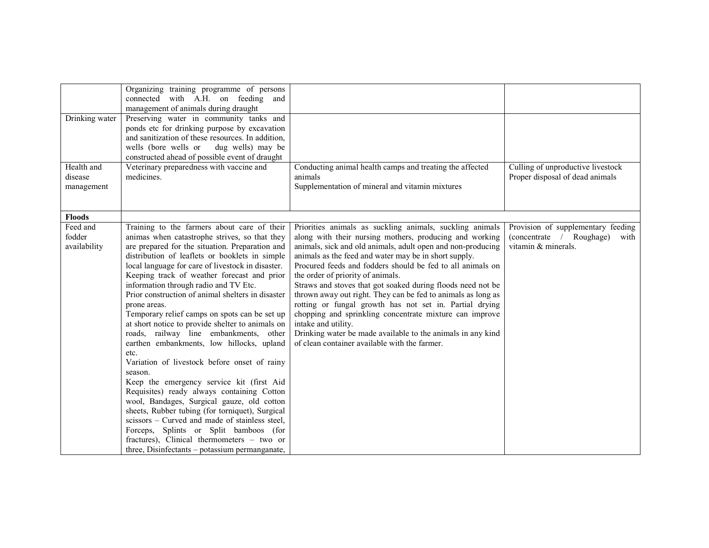| Drinking water<br>Health and       | Organizing training programme of persons<br>connected with A.H. on feeding and<br>management of animals during draught<br>Preserving water in community tanks and<br>ponds etc for drinking purpose by excavation<br>and sanitization of these resources. In addition,<br>wells (bore wells or<br>dug wells) may be<br>constructed ahead of possible event of draught<br>Veterinary preparedness with vaccine and                                                                                                                                                                                                                                                                                                                                                                                                                                                                                                                                                                                                                                                          | Conducting animal health camps and treating the affected                                                                                                                                                                                                                                                                                                                                                                                                                                                                                                                                                                                                                                                                                   | Culling of unproductive livestock                                                             |
|------------------------------------|----------------------------------------------------------------------------------------------------------------------------------------------------------------------------------------------------------------------------------------------------------------------------------------------------------------------------------------------------------------------------------------------------------------------------------------------------------------------------------------------------------------------------------------------------------------------------------------------------------------------------------------------------------------------------------------------------------------------------------------------------------------------------------------------------------------------------------------------------------------------------------------------------------------------------------------------------------------------------------------------------------------------------------------------------------------------------|--------------------------------------------------------------------------------------------------------------------------------------------------------------------------------------------------------------------------------------------------------------------------------------------------------------------------------------------------------------------------------------------------------------------------------------------------------------------------------------------------------------------------------------------------------------------------------------------------------------------------------------------------------------------------------------------------------------------------------------------|-----------------------------------------------------------------------------------------------|
| disease                            | medicines.                                                                                                                                                                                                                                                                                                                                                                                                                                                                                                                                                                                                                                                                                                                                                                                                                                                                                                                                                                                                                                                                 | animals                                                                                                                                                                                                                                                                                                                                                                                                                                                                                                                                                                                                                                                                                                                                    | Proper disposal of dead animals                                                               |
| management                         |                                                                                                                                                                                                                                                                                                                                                                                                                                                                                                                                                                                                                                                                                                                                                                                                                                                                                                                                                                                                                                                                            | Supplementation of mineral and vitamin mixtures                                                                                                                                                                                                                                                                                                                                                                                                                                                                                                                                                                                                                                                                                            |                                                                                               |
| <b>Floods</b>                      |                                                                                                                                                                                                                                                                                                                                                                                                                                                                                                                                                                                                                                                                                                                                                                                                                                                                                                                                                                                                                                                                            |                                                                                                                                                                                                                                                                                                                                                                                                                                                                                                                                                                                                                                                                                                                                            |                                                                                               |
| Feed and<br>fodder<br>availability | Training to the farmers about care of their<br>animas when catastrophe strives, so that they<br>are prepared for the situation. Preparation and<br>distribution of leaflets or booklets in simple<br>local language for care of livestock in disaster.<br>Keeping track of weather forecast and prior<br>information through radio and TV Etc.<br>Prior construction of animal shelters in disaster<br>prone areas.<br>Temporary relief camps on spots can be set up<br>at short notice to provide shelter to animals on<br>roads, railway line embankments, other<br>earthen embankments, low hillocks, upland<br>etc.<br>Variation of livestock before onset of rainy<br>season.<br>Keep the emergency service kit (first Aid<br>Requisites) ready always containing Cotton<br>wool, Bandages, Surgical gauze, old cotton<br>sheets, Rubber tubing (for torniquet), Surgical<br>scissors – Curved and made of stainless steel,<br>Forceps, Splints or Split bamboos (for<br>fractures), Clinical thermometers – two or<br>three, Disinfectants - potassium permanganate, | Priorities animals as suckling animals, suckling animals<br>along with their nursing mothers, producing and working<br>animals, sick and old animals, adult open and non-producing<br>animals as the feed and water may be in short supply.<br>Procured feeds and fodders should be fed to all animals on<br>the order of priority of animals.<br>Straws and stoves that got soaked during floods need not be<br>thrown away out right. They can be fed to animals as long as<br>rotting or fungal growth has not set in. Partial drying<br>chopping and sprinkling concentrate mixture can improve<br>intake and utility.<br>Drinking water be made available to the animals in any kind<br>of clean container available with the farmer. | Provision of supplementary feeding<br>(concentrate / Roughage)<br>with<br>vitamin & minerals. |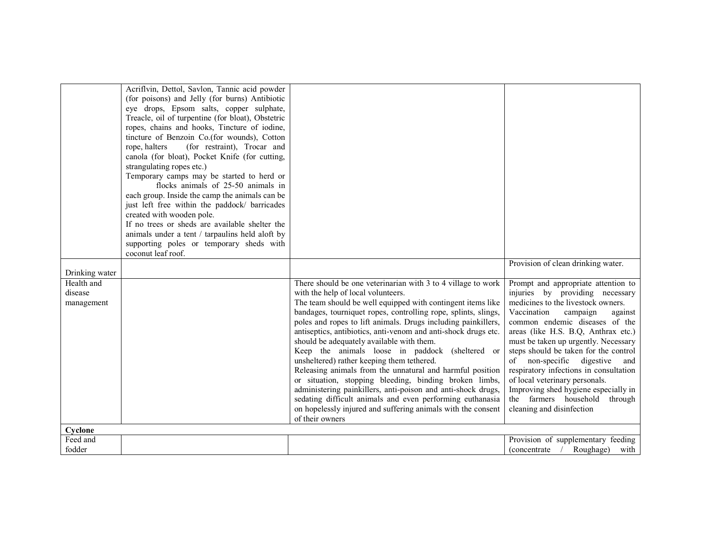|                       | Acriflvin, Dettol, Savlon, Tannic acid powder<br>(for poisons) and Jelly (for burns) Antibiotic<br>eye drops, Epsom salts, copper sulphate,<br>Treacle, oil of turpentine (for bloat), Obstetric<br>ropes, chains and hooks, Tincture of iodine,<br>tincture of Benzoin Co.(for wounds), Cotton<br>(for restraint), Trocar and<br>rope, halters<br>canola (for bloat), Pocket Knife (for cutting,<br>strangulating ropes etc.)<br>Temporary camps may be started to herd or<br>flocks animals of 25-50 animals in<br>each group. Inside the camp the animals can be<br>just left free within the paddock/ barricades<br>created with wooden pole.<br>If no trees or sheds are available shelter the<br>animals under a tent / tarpaulins held aloft by<br>supporting poles or temporary sheds with<br>coconut leaf roof. |                                                                                                                                                                                                                                                                                                                                                                                                                                                                                                                                                     | Provision of clean drinking water.                                                                                                                                                                                                                                                                                                         |
|-----------------------|--------------------------------------------------------------------------------------------------------------------------------------------------------------------------------------------------------------------------------------------------------------------------------------------------------------------------------------------------------------------------------------------------------------------------------------------------------------------------------------------------------------------------------------------------------------------------------------------------------------------------------------------------------------------------------------------------------------------------------------------------------------------------------------------------------------------------|-----------------------------------------------------------------------------------------------------------------------------------------------------------------------------------------------------------------------------------------------------------------------------------------------------------------------------------------------------------------------------------------------------------------------------------------------------------------------------------------------------------------------------------------------------|--------------------------------------------------------------------------------------------------------------------------------------------------------------------------------------------------------------------------------------------------------------------------------------------------------------------------------------------|
| Drinking water        |                                                                                                                                                                                                                                                                                                                                                                                                                                                                                                                                                                                                                                                                                                                                                                                                                          |                                                                                                                                                                                                                                                                                                                                                                                                                                                                                                                                                     |                                                                                                                                                                                                                                                                                                                                            |
| Health and<br>disease |                                                                                                                                                                                                                                                                                                                                                                                                                                                                                                                                                                                                                                                                                                                                                                                                                          | There should be one veterinarian with 3 to 4 village to work<br>with the help of local volunteers.                                                                                                                                                                                                                                                                                                                                                                                                                                                  | Prompt and appropriate attention to<br>injuries by providing necessary                                                                                                                                                                                                                                                                     |
| management            |                                                                                                                                                                                                                                                                                                                                                                                                                                                                                                                                                                                                                                                                                                                                                                                                                          | The team should be well equipped with contingent items like                                                                                                                                                                                                                                                                                                                                                                                                                                                                                         | medicines to the livestock owners.                                                                                                                                                                                                                                                                                                         |
|                       |                                                                                                                                                                                                                                                                                                                                                                                                                                                                                                                                                                                                                                                                                                                                                                                                                          | bandages, tourniquet ropes, controlling rope, splints, slings,<br>poles and ropes to lift animals. Drugs including painkillers,                                                                                                                                                                                                                                                                                                                                                                                                                     | Vaccination<br>campaign<br>against<br>common endemic diseases of the                                                                                                                                                                                                                                                                       |
| Cyclone               |                                                                                                                                                                                                                                                                                                                                                                                                                                                                                                                                                                                                                                                                                                                                                                                                                          | antiseptics, antibiotics, anti-venom and anti-shock drugs etc.<br>should be adequately available with them.<br>Keep the animals loose in paddock (sheltered or<br>unsheltered) rather keeping them tethered.<br>Releasing animals from the unnatural and harmful position<br>or situation, stopping bleeding, binding broken limbs,<br>administering painkillers, anti-poison and anti-shock drugs,<br>sedating difficult animals and even performing euthanasia<br>on hopelessly injured and suffering animals with the consent<br>of their owners | areas (like H.S. B.Q, Anthrax etc.)<br>must be taken up urgently. Necessary<br>steps should be taken for the control<br>of non-specific digestive and<br>respiratory infections in consultation<br>of local veterinary personals.<br>Improving shed hygiene especially in<br>the farmers household<br>through<br>cleaning and disinfection |
| Feed and              |                                                                                                                                                                                                                                                                                                                                                                                                                                                                                                                                                                                                                                                                                                                                                                                                                          |                                                                                                                                                                                                                                                                                                                                                                                                                                                                                                                                                     | Provision of supplementary feeding                                                                                                                                                                                                                                                                                                         |
| fodder                |                                                                                                                                                                                                                                                                                                                                                                                                                                                                                                                                                                                                                                                                                                                                                                                                                          |                                                                                                                                                                                                                                                                                                                                                                                                                                                                                                                                                     | Roughage)<br><i>(concentrate)</i><br>with                                                                                                                                                                                                                                                                                                  |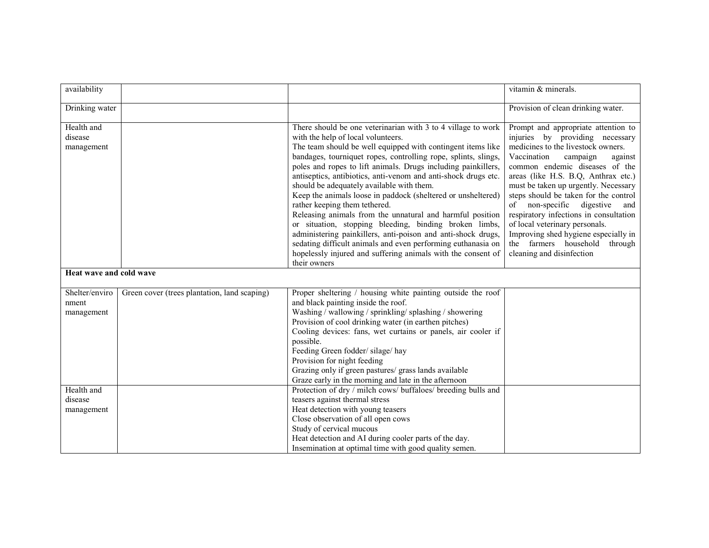| availability                          |                                              |                                                                                                                                                                                                                                                                                                                                                                                                                                                                                                                                                                                                                                                                                                                                                                                                                                                             | vitamin & minerals.                                                                                                                                                                                                                                                                                                                                                                                                                                                                                                                |
|---------------------------------------|----------------------------------------------|-------------------------------------------------------------------------------------------------------------------------------------------------------------------------------------------------------------------------------------------------------------------------------------------------------------------------------------------------------------------------------------------------------------------------------------------------------------------------------------------------------------------------------------------------------------------------------------------------------------------------------------------------------------------------------------------------------------------------------------------------------------------------------------------------------------------------------------------------------------|------------------------------------------------------------------------------------------------------------------------------------------------------------------------------------------------------------------------------------------------------------------------------------------------------------------------------------------------------------------------------------------------------------------------------------------------------------------------------------------------------------------------------------|
| Drinking water                        |                                              |                                                                                                                                                                                                                                                                                                                                                                                                                                                                                                                                                                                                                                                                                                                                                                                                                                                             | Provision of clean drinking water.                                                                                                                                                                                                                                                                                                                                                                                                                                                                                                 |
| Health and<br>disease<br>management   |                                              | There should be one veterinarian with 3 to 4 village to work<br>with the help of local volunteers.<br>The team should be well equipped with contingent items like<br>bandages, tourniquet ropes, controlling rope, splints, slings,<br>poles and ropes to lift animals. Drugs including painkillers,<br>antiseptics, antibiotics, anti-venom and anti-shock drugs etc.<br>should be adequately available with them.<br>Keep the animals loose in paddock (sheltered or unsheltered)<br>rather keeping them tethered.<br>Releasing animals from the unnatural and harmful position<br>or situation, stopping bleeding, binding broken limbs,<br>administering painkillers, anti-poison and anti-shock drugs,<br>sedating difficult animals and even performing euthanasia on<br>hopelessly injured and suffering animals with the consent of<br>their owners | Prompt and appropriate attention to<br>injuries by providing necessary<br>medicines to the livestock owners.<br>Vaccination<br>campaign<br>against<br>common endemic diseases of the<br>areas (like H.S. B.Q, Anthrax etc.)<br>must be taken up urgently. Necessary<br>steps should be taken for the control<br>of non-specific digestive<br>and<br>respiratory infections in consultation<br>of local veterinary personals.<br>Improving shed hygiene especially in<br>the farmers household through<br>cleaning and disinfection |
| Heat wave and cold wave               |                                              |                                                                                                                                                                                                                                                                                                                                                                                                                                                                                                                                                                                                                                                                                                                                                                                                                                                             |                                                                                                                                                                                                                                                                                                                                                                                                                                                                                                                                    |
| Shelter/enviro<br>nment<br>management | Green cover (trees plantation, land scaping) | Proper sheltering / housing white painting outside the roof<br>and black painting inside the roof.<br>Washing / wallowing / sprinkling/ splashing / showering<br>Provision of cool drinking water (in earthen pitches)<br>Cooling devices: fans, wet curtains or panels, air cooler if<br>possible.<br>Feeding Green fodder/silage/hay<br>Provision for night feeding<br>Grazing only if green pastures/ grass lands available<br>Graze early in the morning and late in the afternoon                                                                                                                                                                                                                                                                                                                                                                      |                                                                                                                                                                                                                                                                                                                                                                                                                                                                                                                                    |
| Health and<br>disease<br>management   |                                              | Protection of dry / milch cows/ buffaloes/ breeding bulls and<br>teasers against thermal stress<br>Heat detection with young teasers<br>Close observation of all open cows<br>Study of cervical mucous<br>Heat detection and AI during cooler parts of the day.<br>Insemination at optimal time with good quality semen.                                                                                                                                                                                                                                                                                                                                                                                                                                                                                                                                    |                                                                                                                                                                                                                                                                                                                                                                                                                                                                                                                                    |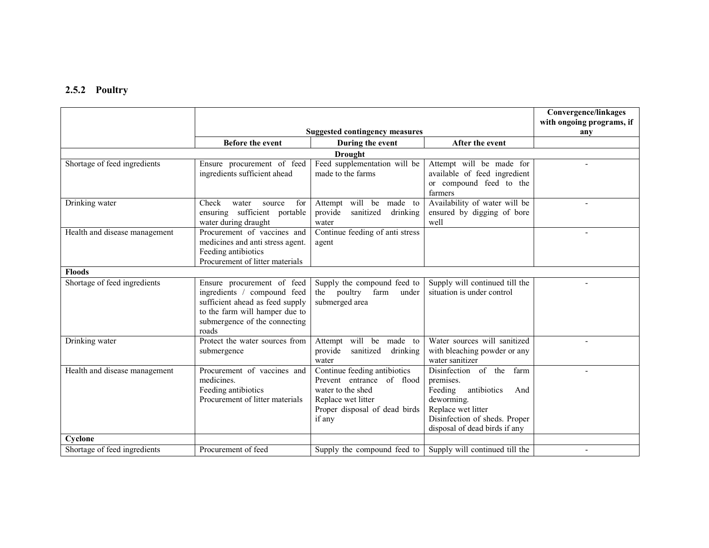### 2.5.2 Poultry

|                               |                                                                                                                                                                          |                                                                                                                                                 |                                                                                                                                                                                 | <b>Convergence/linkages</b>      |
|-------------------------------|--------------------------------------------------------------------------------------------------------------------------------------------------------------------------|-------------------------------------------------------------------------------------------------------------------------------------------------|---------------------------------------------------------------------------------------------------------------------------------------------------------------------------------|----------------------------------|
|                               | <b>Suggested contingency measures</b>                                                                                                                                    |                                                                                                                                                 |                                                                                                                                                                                 | with ongoing programs, if<br>any |
|                               | <b>Before the event</b>                                                                                                                                                  | During the event                                                                                                                                | After the event                                                                                                                                                                 |                                  |
|                               |                                                                                                                                                                          | <b>Drought</b>                                                                                                                                  |                                                                                                                                                                                 |                                  |
| Shortage of feed ingredients  | Ensure procurement of feed<br>ingredients sufficient ahead                                                                                                               | Feed supplementation will be<br>made to the farms                                                                                               | Attempt will be made for<br>available of feed ingredient<br>or compound feed to the<br>farmers                                                                                  |                                  |
| Drinking water                | Check<br>for<br>water<br>source<br>ensuring sufficient portable<br>water during draught                                                                                  | Attempt will be made to<br>provide<br>sanitized<br>drinking<br>water                                                                            | Availability of water will be<br>ensured by digging of bore<br>well                                                                                                             |                                  |
| Health and disease management | Procurement of vaccines and<br>medicines and anti stress agent.<br>Feeding antibiotics<br>Procurement of litter materials                                                | Continue feeding of anti stress<br>agent                                                                                                        |                                                                                                                                                                                 |                                  |
| <b>Floods</b>                 |                                                                                                                                                                          |                                                                                                                                                 |                                                                                                                                                                                 |                                  |
| Shortage of feed ingredients  | Ensure procurement of feed<br>ingredients / compound feed<br>sufficient ahead as feed supply<br>to the farm will hamper due to<br>submergence of the connecting<br>roads | Supply the compound feed to<br>the poultry<br>farm<br>under<br>submerged area                                                                   | Supply will continued till the<br>situation is under control                                                                                                                    |                                  |
| Drinking water                | Protect the water sources from<br>submergence                                                                                                                            | Attempt will be made to<br>provide<br>sanitized<br>drinking<br>water                                                                            | Water sources will sanitized<br>with bleaching powder or any<br>water sanitizer                                                                                                 |                                  |
| Health and disease management | Procurement of vaccines and<br>medicines.<br>Feeding antibiotics<br>Procurement of litter materials                                                                      | Continue feeding antibiotics<br>Prevent entrance of flood<br>water to the shed<br>Replace wet litter<br>Proper disposal of dead birds<br>if any | Disinfection of the<br>farm<br>premises.<br>antibiotics<br>Feeding<br>And<br>deworming.<br>Replace wet litter<br>Disinfection of sheds. Proper<br>disposal of dead birds if any |                                  |
| Cyclone                       |                                                                                                                                                                          |                                                                                                                                                 |                                                                                                                                                                                 |                                  |
| Shortage of feed ingredients  | Procurement of feed                                                                                                                                                      | Supply the compound feed to                                                                                                                     | Supply will continued till the                                                                                                                                                  |                                  |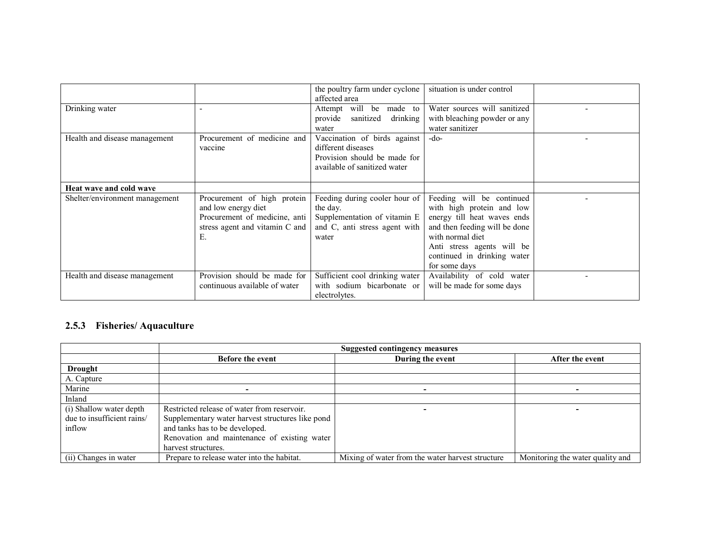|                                |                                                                                                                             | the poultry farm under cyclone<br>affected area                                                                     | situation is under control                                                                                                                                                                                               |  |
|--------------------------------|-----------------------------------------------------------------------------------------------------------------------------|---------------------------------------------------------------------------------------------------------------------|--------------------------------------------------------------------------------------------------------------------------------------------------------------------------------------------------------------------------|--|
| Drinking water                 |                                                                                                                             | Attempt will be made to<br>sanitized<br>provide<br>drinking<br>water                                                | Water sources will sanitized<br>with bleaching powder or any<br>water sanitizer                                                                                                                                          |  |
| Health and disease management  | Procurement of medicine and<br>vaccine                                                                                      | Vaccination of birds against<br>different diseases<br>Provision should be made for<br>available of sanitized water  | $-do-$                                                                                                                                                                                                                   |  |
| Heat wave and cold wave        |                                                                                                                             |                                                                                                                     |                                                                                                                                                                                                                          |  |
| Shelter/environment management | Procurement of high protein<br>and low energy diet<br>Procurement of medicine, anti<br>stress agent and vitamin C and<br>Е. | Feeding during cooler hour of<br>the day.<br>Supplementation of vitamin E<br>and C, anti stress agent with<br>water | Feeding will be continued<br>with high protein and low<br>energy till heat waves ends<br>and then feeding will be done<br>with normal diet<br>Anti stress agents will be<br>continued in drinking water<br>for some days |  |
| Health and disease management  | Provision should be made for<br>continuous available of water                                                               | Sufficient cool drinking water<br>with sodium bicarbonate or<br>electrolytes.                                       | Availability of cold water<br>will be made for some days                                                                                                                                                                 |  |

### 2.5.3 Fisheries/ Aquaculture

|                            | <b>Suggested contingency measures</b>            |                                                  |                                  |
|----------------------------|--------------------------------------------------|--------------------------------------------------|----------------------------------|
|                            | <b>Before the event</b>                          | During the event                                 | After the event                  |
| <b>Drought</b>             |                                                  |                                                  |                                  |
| A. Capture                 |                                                  |                                                  |                                  |
| Marine                     |                                                  |                                                  |                                  |
| Inland                     |                                                  |                                                  |                                  |
| (i) Shallow water depth    | Restricted release of water from reservoir.      |                                                  |                                  |
| due to insufficient rains/ | Supplementary water harvest structures like pond |                                                  |                                  |
| inflow                     | and tanks has to be developed.                   |                                                  |                                  |
|                            | Renovation and maintenance of existing water     |                                                  |                                  |
|                            | harvest structures.                              |                                                  |                                  |
| (ii) Changes in water      | Prepare to release water into the habitat.       | Mixing of water from the water harvest structure | Monitoring the water quality and |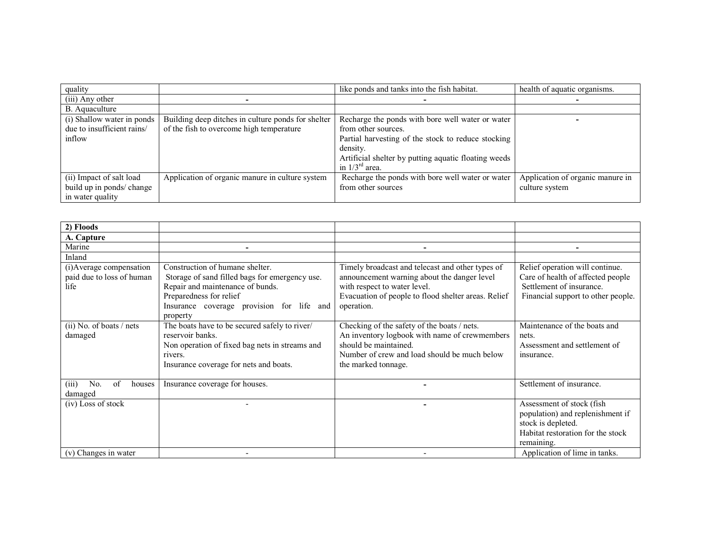| quality                    |                                                    | like ponds and tanks into the fish habitat.          | health of aquatic organisms.     |
|----------------------------|----------------------------------------------------|------------------------------------------------------|----------------------------------|
| (iii) Any other            |                                                    |                                                      |                                  |
| B. Aquaculture             |                                                    |                                                      |                                  |
| (i) Shallow water in ponds | Building deep ditches in culture ponds for shelter | Recharge the ponds with bore well water or water     |                                  |
| due to insufficient rains/ | of the fish to overcome high temperature           | from other sources.                                  |                                  |
| inflow                     |                                                    | Partial harvesting of the stock to reduce stocking   |                                  |
|                            |                                                    | density.                                             |                                  |
|                            |                                                    | Artificial shelter by putting aquatic floating weeds |                                  |
|                            |                                                    | in $1/3^{ra}$ area.                                  |                                  |
| (ii) Impact of salt load   | Application of organic manure in culture system    | Recharge the ponds with bore well water or water     | Application of organic manure in |
| build up in ponds/ change  |                                                    | from other sources                                   | culture system                   |
| in water quality           |                                                    |                                                      |                                  |

| 2) Floods                    |                                                |                                                     |                                    |
|------------------------------|------------------------------------------------|-----------------------------------------------------|------------------------------------|
| A. Capture                   |                                                |                                                     |                                    |
| Marine                       |                                                |                                                     |                                    |
| Inland                       |                                                |                                                     |                                    |
| (i) Average compensation     | Construction of humane shelter.                | Timely broadcast and telecast and other types of    | Relief operation will continue.    |
| paid due to loss of human    | Storage of sand filled bags for emergency use. | announcement warning about the danger level         | Care of health of affected people  |
| life                         | Repair and maintenance of bunds.               | with respect to water level.                        | Settlement of insurance.           |
|                              | Preparedness for relief                        | Evacuation of people to flood shelter areas. Relief | Financial support to other people. |
|                              | Insurance coverage provision for life and      | operation.                                          |                                    |
|                              | property                                       |                                                     |                                    |
| $(ii)$ No. of boats / nets   | The boats have to be secured safely to river/  | Checking of the safety of the boats / nets.         | Maintenance of the boats and       |
| damaged                      | reservoir banks.                               | An inventory logbook with name of crewmembers       | nets.                              |
|                              | Non operation of fixed bag nets in streams and | should be maintained.                               | Assessment and settlement of       |
|                              | rivers.                                        | Number of crew and load should be much below        | insurance.                         |
|                              | Insurance coverage for nets and boats.         | the marked tonnage.                                 |                                    |
|                              |                                                |                                                     |                                    |
| No.<br>of<br>(iii)<br>houses | Insurance coverage for houses.                 |                                                     | Settlement of insurance.           |
| damaged                      |                                                |                                                     |                                    |
| (iv) Loss of stock           |                                                |                                                     | Assessment of stock (fish          |
|                              |                                                |                                                     | population) and replenishment if   |
|                              |                                                |                                                     | stock is depleted.                 |
|                              |                                                |                                                     | Habitat restoration for the stock  |
|                              |                                                |                                                     | remaining.                         |
| (v) Changes in water         |                                                |                                                     | Application of lime in tanks.      |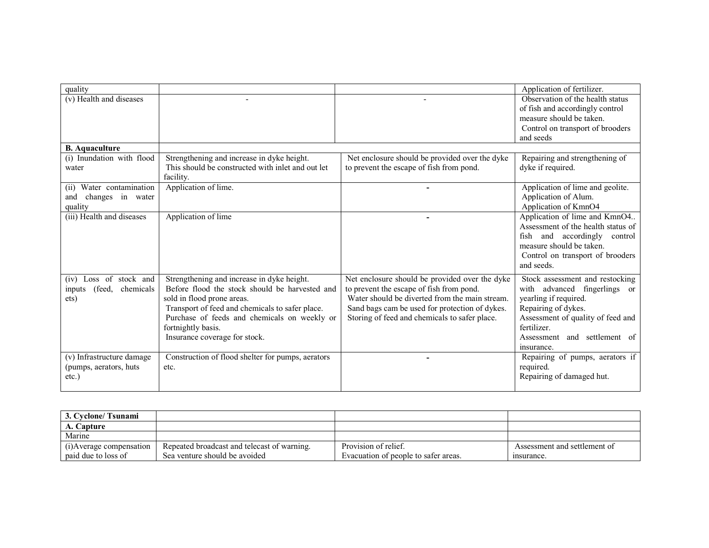| quality                       |                                                   |                                                | Application of fertilizer.         |
|-------------------------------|---------------------------------------------------|------------------------------------------------|------------------------------------|
| (v) Health and diseases       |                                                   |                                                | Observation of the health status   |
|                               |                                                   |                                                | of fish and accordingly control    |
|                               |                                                   |                                                | measure should be taken.           |
|                               |                                                   |                                                | Control on transport of brooders   |
|                               |                                                   |                                                | and seeds                          |
| <b>B.</b> Aquaculture         |                                                   |                                                |                                    |
| (i) Inundation with flood     | Strengthening and increase in dyke height.        | Net enclosure should be provided over the dyke | Repairing and strengthening of     |
| water                         | This should be constructed with inlet and out let | to prevent the escape of fish from pond.       | dyke if required.                  |
|                               | facility.                                         |                                                |                                    |
| Water contamination<br>(11)   | Application of lime.                              |                                                | Application of lime and geolite.   |
| changes in water<br>and       |                                                   |                                                | Application of Alum.               |
| quality                       |                                                   |                                                | Application of KmnO4               |
| (iii) Health and diseases     | Application of lime                               | -                                              | Application of lime and KmnO4      |
|                               |                                                   |                                                | Assessment of the health status of |
|                               |                                                   |                                                | fish and accordingly control       |
|                               |                                                   |                                                | measure should be taken.           |
|                               |                                                   |                                                | Control on transport of brooders   |
|                               |                                                   |                                                | and seeds.                         |
| Loss of stock and<br>(iv)     | Strengthening and increase in dyke height.        | Net enclosure should be provided over the dyke | Stock assessment and restocking    |
| (feed,<br>chemicals<br>inputs | Before flood the stock should be harvested and    | to prevent the escape of fish from pond.       | with advanced fingerlings or       |
| ets)                          | sold in flood prone areas.                        | Water should be diverted from the main stream. | yearling if required.              |
|                               | Transport of feed and chemicals to safer place.   | Sand bags cam be used for protection of dykes. | Repairing of dykes.                |
|                               | Purchase of feeds and chemicals on weekly or      | Storing of feed and chemicals to safer place.  | Assessment of quality of feed and  |
|                               | fortnightly basis.                                |                                                | fertilizer.                        |
|                               | Insurance coverage for stock.                     |                                                | Assessment and settlement of       |
|                               |                                                   |                                                | insurance.                         |
| (v) Infrastructure damage     | Construction of flood shelter for pumps, aerators |                                                | Repairing of pumps, aerators if    |
| (pumps, aerators, huts)       | etc.                                              |                                                | required.                          |
| $etc.$ )                      |                                                   |                                                | Repairing of damaged hut.          |
|                               |                                                   |                                                |                                    |

| 3. Cyclone/Tsunami      |                                             |                                      |                              |
|-------------------------|---------------------------------------------|--------------------------------------|------------------------------|
| A. Capture              |                                             |                                      |                              |
| Marine                  |                                             |                                      |                              |
| (i)Average compensation | Repeated broadcast and telecast of warning. | Provision of relief.                 | Assessment and settlement of |
| paid due to loss of     | Sea venture should be avoided               | Evacuation of people to safer areas. | insurance.                   |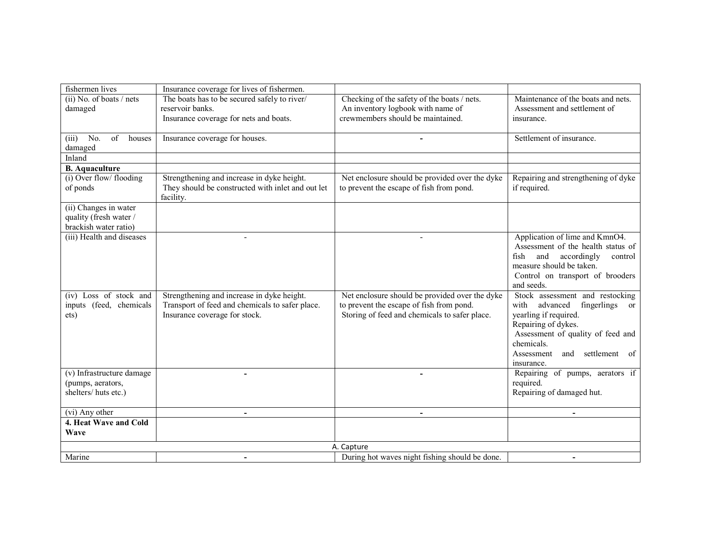| fishermen lives                                  | Insurance coverage for lives of fishermen.        |                                                |                                                          |
|--------------------------------------------------|---------------------------------------------------|------------------------------------------------|----------------------------------------------------------|
| $(ii)$ No. of boats / nets                       | The boats has to be secured safely to river/      | Checking of the safety of the boats / nets.    | Maintenance of the boats and nets.                       |
| damaged                                          | reservoir banks.                                  | An inventory logbook with name of              | Assessment and settlement of                             |
|                                                  | Insurance coverage for nets and boats.            | crewmembers should be maintained.              | insurance.                                               |
|                                                  |                                                   |                                                |                                                          |
| No.<br>of<br>houses<br>(iii)                     | Insurance coverage for houses.                    |                                                | Settlement of insurance.                                 |
| damaged                                          |                                                   |                                                |                                                          |
| Inland                                           |                                                   |                                                |                                                          |
| <b>B.</b> Aquaculture<br>(i) Over flow/ flooding | Strengthening and increase in dyke height.        | Net enclosure should be provided over the dyke | Repairing and strengthening of dyke                      |
| of ponds                                         | They should be constructed with inlet and out let | to prevent the escape of fish from pond.       | if required.                                             |
|                                                  | facility.                                         |                                                |                                                          |
| (ii) Changes in water                            |                                                   |                                                |                                                          |
| quality (fresh water /                           |                                                   |                                                |                                                          |
| brackish water ratio)                            |                                                   |                                                |                                                          |
| (iii) Health and diseases                        | $\blacksquare$                                    |                                                | Application of lime and KmnO4.                           |
|                                                  |                                                   |                                                | Assessment of the health status of                       |
|                                                  |                                                   |                                                | and accordingly<br>fish<br>control                       |
|                                                  |                                                   |                                                | measure should be taken.                                 |
|                                                  |                                                   |                                                | Control on transport of brooders                         |
|                                                  |                                                   |                                                | and seeds.                                               |
| (iv) Loss of stock and                           | Strengthening and increase in dyke height.        | Net enclosure should be provided over the dyke | Stock assessment and restocking                          |
| inputs (feed, chemicals                          | Transport of feed and chemicals to safer place.   | to prevent the escape of fish from pond.       | with advanced<br>fingerlings<br>or                       |
| ets)                                             | Insurance coverage for stock.                     | Storing of feed and chemicals to safer place.  | yearling if required.                                    |
|                                                  |                                                   |                                                | Repairing of dykes.<br>Assessment of quality of feed and |
|                                                  |                                                   |                                                | chemicals.                                               |
|                                                  |                                                   |                                                | Assessment<br>settlement of<br>and                       |
|                                                  |                                                   |                                                | insurance.                                               |
| (v) Infrastructure damage                        | $\overline{\phantom{0}}$                          | $\overline{\phantom{a}}$                       | Repairing of pumps, aerators if                          |
| (pumps, aerators,                                |                                                   |                                                | required.                                                |
| shelters/huts etc.)                              |                                                   |                                                | Repairing of damaged hut.                                |
|                                                  |                                                   |                                                |                                                          |
| (vi) Any other                                   | $\mathbf{r}$                                      | $\blacksquare$                                 | $\blacksquare$                                           |
| 4. Heat Wave and Cold                            |                                                   |                                                |                                                          |
| Wave                                             |                                                   |                                                |                                                          |
|                                                  |                                                   | A. Capture                                     |                                                          |
| Marine                                           |                                                   | During hot waves night fishing should be done. | $\overline{\phantom{a}}$                                 |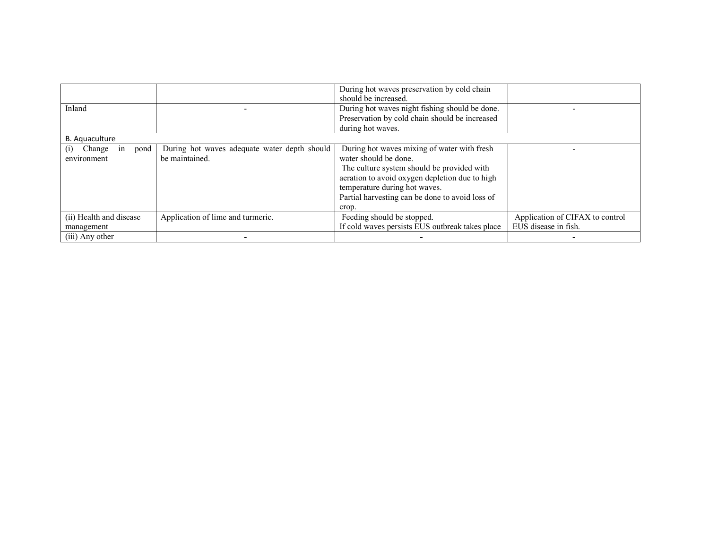|                             |                                              | During hot waves preservation by cold chain     |                                 |
|-----------------------------|----------------------------------------------|-------------------------------------------------|---------------------------------|
|                             |                                              | should be increased.                            |                                 |
| Inland                      |                                              | During hot waves night fishing should be done.  |                                 |
|                             |                                              | Preservation by cold chain should be increased  |                                 |
|                             |                                              | during hot waves.                               |                                 |
| B. Aquaculture              |                                              |                                                 |                                 |
| Change<br>pond<br>1n<br>(1) | During hot waves adequate water depth should | During hot waves mixing of water with fresh     |                                 |
| environment                 | be maintained.                               | water should be done.                           |                                 |
|                             |                                              | The culture system should be provided with      |                                 |
|                             |                                              | aeration to avoid oxygen depletion due to high  |                                 |
|                             |                                              | temperature during hot waves.                   |                                 |
|                             |                                              | Partial harvesting can be done to avoid loss of |                                 |
|                             |                                              | crop.                                           |                                 |
| (ii) Health and disease     | Application of lime and turmeric.            | Feeding should be stopped.                      | Application of CIFAX to control |
| management                  |                                              | If cold waves persists EUS outbreak takes place | EUS disease in fish.            |
| (iii) Any other             |                                              |                                                 |                                 |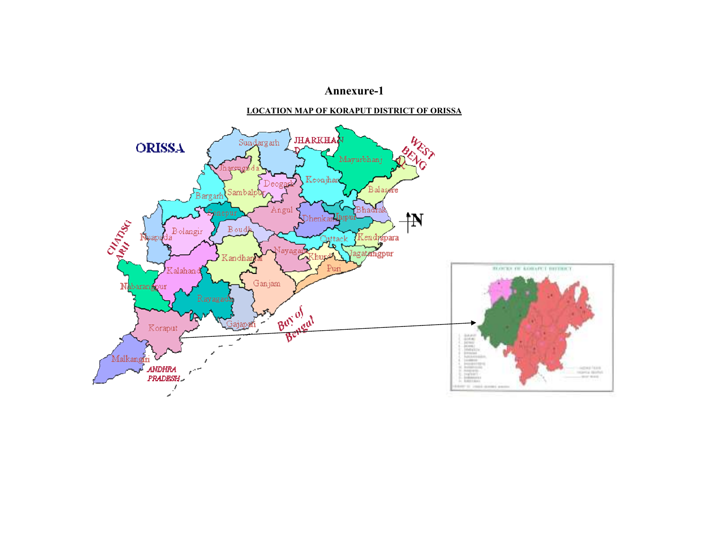### Annexure-1

### LOCATION MAP OF KORAPUT DISTRICT OF ORISSA

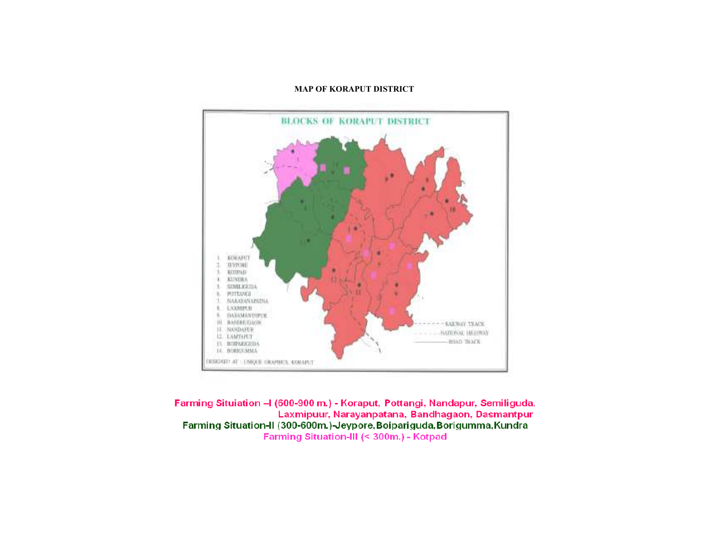### MAP OF KORAPUT DISTRICT



Farming Situiation - I (600-900 m.) - Koraput, Pottangi, Nandapur, Semiliguda, Laxmipuur, Narayanpatana, Bandhagaon, Dasmantpur Farming Situation-II (300-600m.)-Jeypore, Boipariguda, Borigumma, Kundra Farming Situation-III (< 300m.) - Kotpad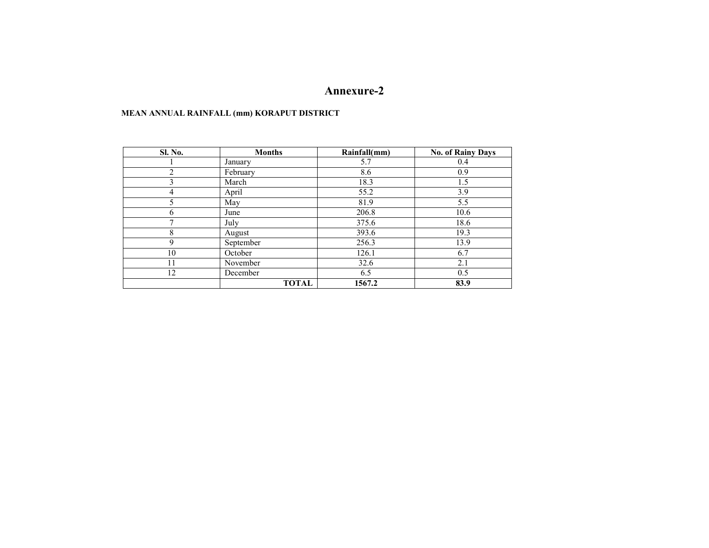### Annexure-2

### MEAN ANNUAL RAINFALL (mm) KORAPUT DISTRICT

| <b>Sl. No.</b> | <b>Months</b> | Rainfall(mm) | <b>No. of Rainy Days</b> |
|----------------|---------------|--------------|--------------------------|
|                | January       | 5.7          | 0.4                      |
| $\mathfrak{D}$ | February      | 8.6          | 0.9                      |
| 3              | March         | 18.3         | 1.5                      |
| 4              | April         | 55.2         | 3.9                      |
| 5              | May           | 81.9         | 5.5                      |
| 6              | June          | 206.8        | 10.6                     |
| 7              | July          | 375.6        | 18.6                     |
| 8              | August        | 393.6        | 19.3                     |
| 9              | September     | 256.3        | 13.9                     |
| 10             | October       | 126.1        | 6.7                      |
| 11             | November      | 32.6         | 2.1                      |
| 12             | December      | 6.5          | 0.5                      |
|                | <b>TOTAL</b>  | 1567.2       | 83.9                     |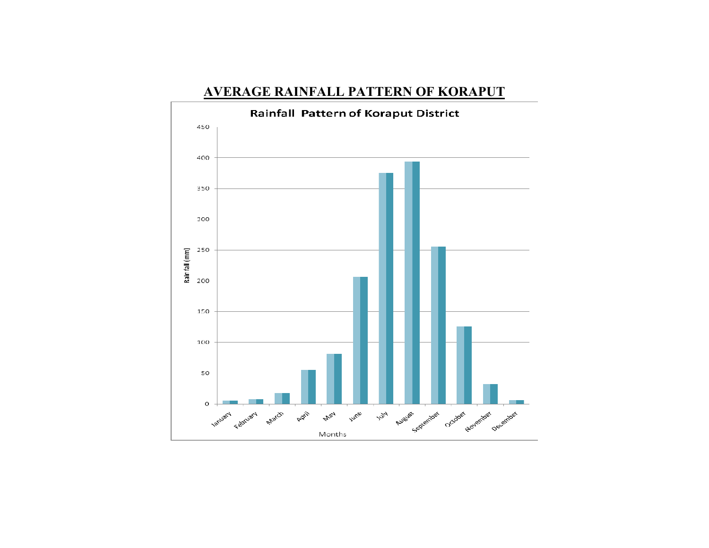